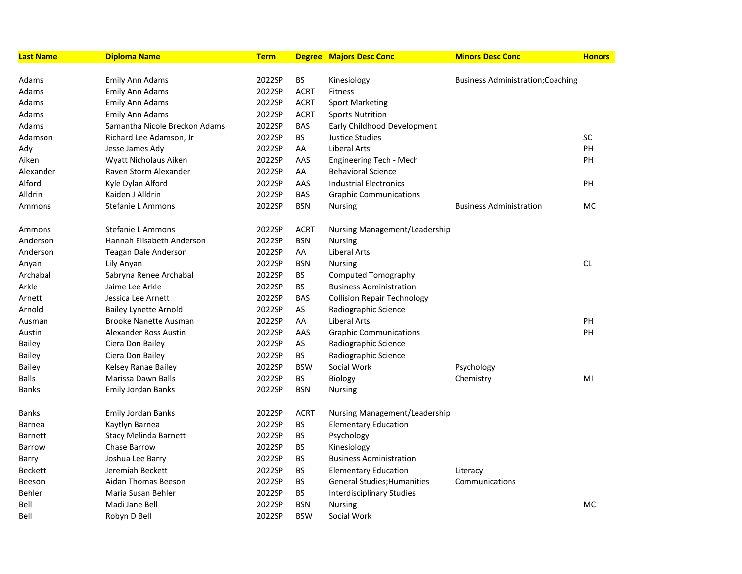| Last Name      | <b>Diploma Name</b>           | <b>Term</b> |             | <b>Degree Majors Desc Conc</b>     | <b>Minors Desc Conc</b>                  | <b>Honors</b> |
|----------------|-------------------------------|-------------|-------------|------------------------------------|------------------------------------------|---------------|
|                |                               |             |             |                                    |                                          |               |
| Adams          | Emily Ann Adams               | 2022SP      | <b>BS</b>   | Kinesiology                        | <b>Business Administration; Coaching</b> |               |
| Adams          | <b>Emily Ann Adams</b>        | 2022SP      | <b>ACRT</b> | <b>Fitness</b>                     |                                          |               |
| Adams          | Emily Ann Adams               | 2022SP      | <b>ACRT</b> | <b>Sport Marketing</b>             |                                          |               |
| Adams          | <b>Emily Ann Adams</b>        | 2022SP      | <b>ACRT</b> | <b>Sports Nutrition</b>            |                                          |               |
| Adams          | Samantha Nicole Breckon Adams | 2022SP      | BAS         | Early Childhood Development        |                                          |               |
| Adamson        | Richard Lee Adamson, Jr       | 2022SP      | BS          | <b>Justice Studies</b>             |                                          | SC            |
| Ady            | Jesse James Ady               | 2022SP      | AA          | <b>Liberal Arts</b>                |                                          | PH            |
| Aiken          | Wyatt Nicholaus Aiken         | 2022SP      | AAS         | Engineering Tech - Mech            |                                          | PH            |
| Alexander      | Raven Storm Alexander         | 2022SP      | AA          | <b>Behavioral Science</b>          |                                          |               |
| Alford         | Kyle Dylan Alford             | 2022SP      | AAS         | <b>Industrial Electronics</b>      |                                          | PH            |
| Alldrin        | Kaiden J Alldrin              | 2022SP      | <b>BAS</b>  | <b>Graphic Communications</b>      |                                          |               |
| Ammons         | Stefanie L Ammons             | 2022SP      | <b>BSN</b>  | <b>Nursing</b>                     | <b>Business Administration</b>           | МC            |
| Ammons         | Stefanie L Ammons             | 2022SP      | <b>ACRT</b> | Nursing Management/Leadership      |                                          |               |
| Anderson       | Hannah Elisabeth Anderson     | 2022SP      | <b>BSN</b>  | <b>Nursing</b>                     |                                          |               |
| Anderson       | Teagan Dale Anderson          | 2022SP      | AA          | Liberal Arts                       |                                          |               |
| Anyan          | Lily Anyan                    | 2022SP      | <b>BSN</b>  | <b>Nursing</b>                     |                                          | CL            |
| Archabal       | Sabryna Renee Archabal        | 2022SP      | <b>BS</b>   | <b>Computed Tomography</b>         |                                          |               |
| Arkle          | Jaime Lee Arkle               | 2022SP      | <b>BS</b>   | <b>Business Administration</b>     |                                          |               |
| Arnett         | Jessica Lee Arnett            | 2022SP      | <b>BAS</b>  | <b>Collision Repair Technology</b> |                                          |               |
| Arnold         | <b>Bailey Lynette Arnold</b>  | 2022SP      | AS          | Radiographic Science               |                                          |               |
| Ausman         | <b>Brooke Nanette Ausman</b>  | 2022SP      | AA          | Liberal Arts                       |                                          | PH            |
| Austin         | Alexander Ross Austin         | 2022SP      | AAS         | <b>Graphic Communications</b>      |                                          | PH            |
| Bailey         | Ciera Don Bailey              | 2022SP      | AS          | Radiographic Science               |                                          |               |
| Bailey         | Ciera Don Bailey              | 2022SP      | <b>BS</b>   | Radiographic Science               |                                          |               |
| Bailey         | Kelsey Ranae Bailey           | 2022SP      | <b>BSW</b>  | Social Work                        | Psychology                               |               |
| Balls          | Marissa Dawn Balls            | 2022SP      | ВS          | <b>Biology</b>                     | Chemistry                                | MI            |
| Banks          | Emily Jordan Banks            | 2022SP      | <b>BSN</b>  | <b>Nursing</b>                     |                                          |               |
| Banks          | Emily Jordan Banks            | 2022SP      | <b>ACRT</b> | Nursing Management/Leadership      |                                          |               |
| Barnea         | Kaytlyn Barnea                | 2022SP      | <b>BS</b>   | <b>Elementary Education</b>        |                                          |               |
| <b>Barnett</b> | <b>Stacy Melinda Barnett</b>  | 2022SP      | BS          | Psychology                         |                                          |               |
| Barrow         | Chase Barrow                  | 2022SP      | <b>BS</b>   | Kinesiology                        |                                          |               |
| Barry          | Joshua Lee Barry              | 2022SP      | BS          | <b>Business Administration</b>     |                                          |               |
| <b>Beckett</b> | Jeremiah Beckett              | 2022SP      | <b>BS</b>   | <b>Elementary Education</b>        | Literacy                                 |               |
| Beeson         | Aidan Thomas Beeson           | 2022SP      | BS          | General Studies; Humanities        | Communications                           |               |
| Behler         | Maria Susan Behler            | 2022SP      | <b>BS</b>   | <b>Interdisciplinary Studies</b>   |                                          |               |
| Bell           | Madi Jane Bell                | 2022SP      | <b>BSN</b>  | <b>Nursing</b>                     |                                          | <b>MC</b>     |
| Bell           | Robyn D Bell                  | 2022SP      | <b>BSW</b>  | Social Work                        |                                          |               |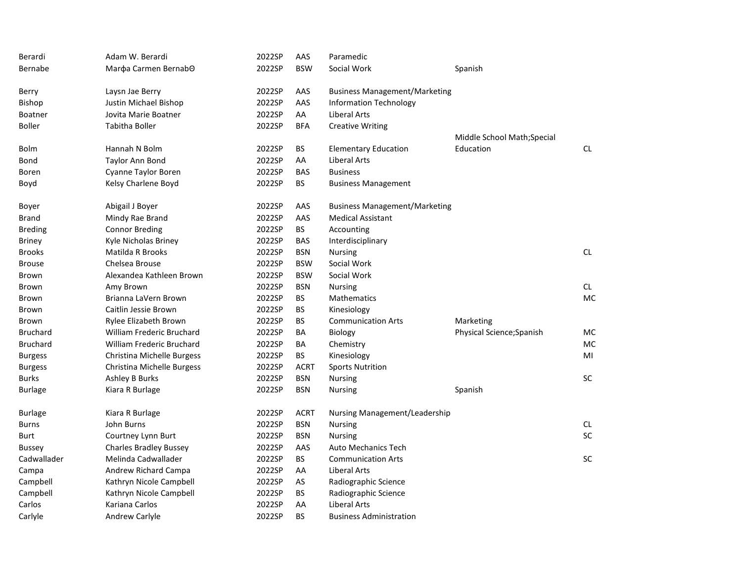| Berardi         | Adam W. Berardi                  | 2022SP | AAS         | Paramedic                            |                            |           |
|-----------------|----------------------------------|--------|-------------|--------------------------------------|----------------------------|-----------|
| Bernabe         | Marda Carmen BernabO             | 2022SP | <b>BSW</b>  | Social Work                          | Spanish                    |           |
| Berry           | Laysn Jae Berry                  | 2022SP | AAS         | <b>Business Management/Marketing</b> |                            |           |
| Bishop          | Justin Michael Bishop            | 2022SP | AAS         | <b>Information Technology</b>        |                            |           |
| Boatner         | Jovita Marie Boatner             | 2022SP | AA          | Liberal Arts                         |                            |           |
| Boller          | Tabitha Boller                   | 2022SP | <b>BFA</b>  | <b>Creative Writing</b>              |                            |           |
|                 |                                  |        |             |                                      | Middle School Math;Special |           |
| Bolm            | Hannah N Bolm                    | 2022SP | <b>BS</b>   | <b>Elementary Education</b>          | Education                  | <b>CL</b> |
| Bond            | <b>Taylor Ann Bond</b>           | 2022SP | AA          | Liberal Arts                         |                            |           |
| Boren           | Cyanne Taylor Boren              | 2022SP | <b>BAS</b>  | <b>Business</b>                      |                            |           |
| Boyd            | Kelsy Charlene Boyd              | 2022SP | <b>BS</b>   | <b>Business Management</b>           |                            |           |
| Boyer           | Abigail J Boyer                  | 2022SP | AAS         | <b>Business Management/Marketing</b> |                            |           |
| Brand           | Mindy Rae Brand                  | 2022SP | AAS         | <b>Medical Assistant</b>             |                            |           |
| <b>Breding</b>  | <b>Connor Breding</b>            | 2022SP | <b>BS</b>   | Accounting                           |                            |           |
| Briney          | Kyle Nicholas Briney             | 2022SP | BAS         | Interdisciplinary                    |                            |           |
| Brooks          | Matilda R Brooks                 | 2022SP | <b>BSN</b>  | <b>Nursing</b>                       |                            | <b>CL</b> |
| <b>Brouse</b>   | Chelsea Brouse                   | 2022SP | <b>BSW</b>  | Social Work                          |                            |           |
| Brown           | Alexandea Kathleen Brown         | 2022SP | <b>BSW</b>  | Social Work                          |                            |           |
| Brown           | Amy Brown                        | 2022SP | <b>BSN</b>  | <b>Nursing</b>                       |                            | CL.       |
| Brown           | Brianna LaVern Brown             | 2022SP | <b>BS</b>   | Mathematics                          |                            | <b>MC</b> |
| Brown           | Caitlin Jessie Brown             | 2022SP | BS          | Kinesiology                          |                            |           |
| Brown           | Rylee Elizabeth Brown            | 2022SP | <b>BS</b>   | <b>Communication Arts</b>            | Marketing                  |           |
| Bruchard        | <b>William Frederic Bruchard</b> | 2022SP | BA          | Biology                              | Physical Science; Spanish  | <b>MC</b> |
| <b>Bruchard</b> | <b>William Frederic Bruchard</b> | 2022SP | BA          | Chemistry                            |                            | <b>MC</b> |
| <b>Burgess</b>  | Christina Michelle Burgess       | 2022SP | BS.         | Kinesiology                          |                            | MI        |
| <b>Burgess</b>  | Christina Michelle Burgess       | 2022SP | <b>ACRT</b> | <b>Sports Nutrition</b>              |                            |           |
| Burks           | <b>Ashley B Burks</b>            | 2022SP | <b>BSN</b>  | <b>Nursing</b>                       |                            | SC        |
| Burlage         | Kiara R Burlage                  | 2022SP | <b>BSN</b>  | <b>Nursing</b>                       | Spanish                    |           |
| <b>Burlage</b>  | Kiara R Burlage                  | 2022SP | <b>ACRT</b> | Nursing Management/Leadership        |                            |           |
| Burns           | John Burns                       | 2022SP | <b>BSN</b>  | <b>Nursing</b>                       |                            | <b>CL</b> |
| Burt            | Courtney Lynn Burt               | 2022SP | <b>BSN</b>  | <b>Nursing</b>                       |                            | SC        |
| Bussey          | <b>Charles Bradley Bussey</b>    | 2022SP | AAS         | <b>Auto Mechanics Tech</b>           |                            |           |
| Cadwallader     | Melinda Cadwallader              | 2022SP | <b>BS</b>   | <b>Communication Arts</b>            |                            | SC        |
| Campa           | <b>Andrew Richard Campa</b>      | 2022SP | AA          | Liberal Arts                         |                            |           |
| Campbell        | Kathryn Nicole Campbell          | 2022SP | AS          | Radiographic Science                 |                            |           |
| Campbell        | Kathryn Nicole Campbell          | 2022SP | <b>BS</b>   | Radiographic Science                 |                            |           |
| Carlos          | Kariana Carlos                   | 2022SP | AA          | Liberal Arts                         |                            |           |
| Carlyle         | <b>Andrew Carlyle</b>            | 2022SP | <b>BS</b>   | <b>Business Administration</b>       |                            |           |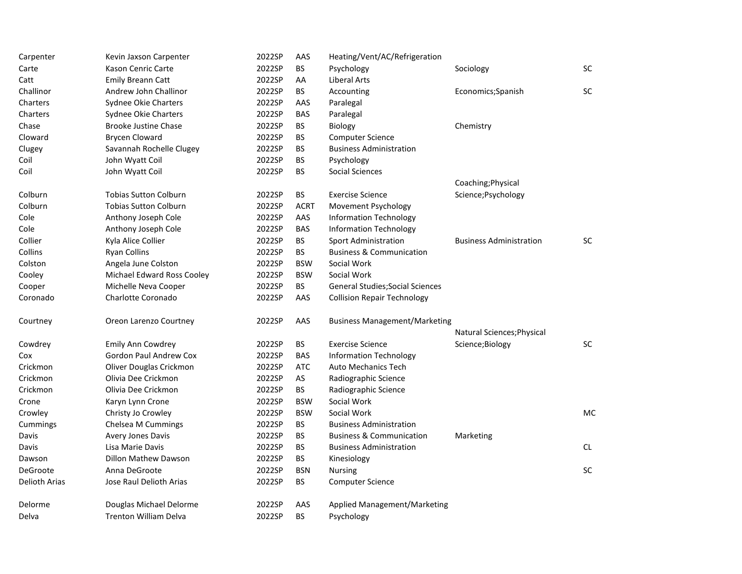| Carpenter     | Kevin Jaxson Carpenter        | 2022SP | AAS         | Heating/Vent/AC/Refrigeration           |                                |           |
|---------------|-------------------------------|--------|-------------|-----------------------------------------|--------------------------------|-----------|
| Carte         | Kason Cenric Carte            | 2022SP | <b>BS</b>   | Psychology                              | Sociology                      | <b>SC</b> |
| Catt          | <b>Emily Breann Catt</b>      | 2022SP | AA          | Liberal Arts                            |                                |           |
| Challinor     | Andrew John Challinor         | 2022SP | <b>BS</b>   | Accounting                              | Economics; Spanish             | <b>SC</b> |
| Charters      | Sydnee Okie Charters          | 2022SP | AAS         | Paralegal                               |                                |           |
| Charters      | Sydnee Okie Charters          | 2022SP | <b>BAS</b>  | Paralegal                               |                                |           |
| Chase         | <b>Brooke Justine Chase</b>   | 2022SP | <b>BS</b>   | Biology                                 | Chemistry                      |           |
| Cloward       | <b>Brycen Cloward</b>         | 2022SP | <b>BS</b>   | <b>Computer Science</b>                 |                                |           |
| Clugey        | Savannah Rochelle Clugey      | 2022SP | <b>BS</b>   | <b>Business Administration</b>          |                                |           |
| Coil          | John Wyatt Coil               | 2022SP | BS          | Psychology                              |                                |           |
| Coil          | John Wyatt Coil               | 2022SP | <b>BS</b>   | <b>Social Sciences</b>                  |                                |           |
|               |                               |        |             |                                         | Coaching; Physical             |           |
| Colburn       | <b>Tobias Sutton Colburn</b>  | 2022SP | <b>BS</b>   | <b>Exercise Science</b>                 | Science; Psychology            |           |
| Colburn       | <b>Tobias Sutton Colburn</b>  | 2022SP | <b>ACRT</b> | Movement Psychology                     |                                |           |
| Cole          | Anthony Joseph Cole           | 2022SP | AAS         | <b>Information Technology</b>           |                                |           |
| Cole          | Anthony Joseph Cole           | 2022SP | <b>BAS</b>  | <b>Information Technology</b>           |                                |           |
| Collier       | Kyla Alice Collier            | 2022SP | <b>BS</b>   | <b>Sport Administration</b>             | <b>Business Administration</b> | <b>SC</b> |
| Collins       | <b>Ryan Collins</b>           | 2022SP | <b>BS</b>   | <b>Business &amp; Communication</b>     |                                |           |
| Colston       | Angela June Colston           | 2022SP | <b>BSW</b>  | Social Work                             |                                |           |
| Cooley        | Michael Edward Ross Cooley    | 2022SP | <b>BSW</b>  | Social Work                             |                                |           |
| Cooper        | Michelle Neva Cooper          | 2022SP | <b>BS</b>   | <b>General Studies; Social Sciences</b> |                                |           |
| Coronado      | Charlotte Coronado            | 2022SP | AAS         | <b>Collision Repair Technology</b>      |                                |           |
| Courtney      | Oreon Larenzo Courtney        | 2022SP | AAS         | <b>Business Management/Marketing</b>    |                                |           |
|               |                               |        |             |                                         | Natural Sciences; Physical     |           |
| Cowdrey       | <b>Emily Ann Cowdrey</b>      | 2022SP | <b>BS</b>   | <b>Exercise Science</b>                 | Science;Biology                | SC        |
| Cox           | <b>Gordon Paul Andrew Cox</b> | 2022SP | <b>BAS</b>  | <b>Information Technology</b>           |                                |           |
| Crickmon      | Oliver Douglas Crickmon       | 2022SP | <b>ATC</b>  | <b>Auto Mechanics Tech</b>              |                                |           |
| Crickmon      | Olivia Dee Crickmon           | 2022SP | AS          | Radiographic Science                    |                                |           |
| Crickmon      | Olivia Dee Crickmon           | 2022SP | <b>BS</b>   | Radiographic Science                    |                                |           |
| Crone         | Karyn Lynn Crone              | 2022SP | <b>BSW</b>  | Social Work                             |                                |           |
| Crowley       | Christy Jo Crowley            | 2022SP | <b>BSW</b>  | Social Work                             |                                | <b>MC</b> |
| Cummings      | Chelsea M Cummings            | 2022SP | <b>BS</b>   | <b>Business Administration</b>          |                                |           |
| Davis         | Avery Jones Davis             | 2022SP | <b>BS</b>   | <b>Business &amp; Communication</b>     | Marketing                      |           |
| Davis         | Lisa Marie Davis              | 2022SP | <b>BS</b>   | <b>Business Administration</b>          |                                | CL.       |
| Dawson        | Dillon Mathew Dawson          | 2022SP | <b>BS</b>   | Kinesiology                             |                                |           |
| DeGroote      | Anna DeGroote                 | 2022SP | <b>BSN</b>  | <b>Nursing</b>                          |                                | SC        |
| Delioth Arias | Jose Raul Delioth Arias       | 2022SP | BS          | <b>Computer Science</b>                 |                                |           |
| Delorme       | Douglas Michael Delorme       | 2022SP | AAS         | Applied Management/Marketing            |                                |           |
| Delva         | <b>Trenton William Delva</b>  | 2022SP | <b>BS</b>   | Psychology                              |                                |           |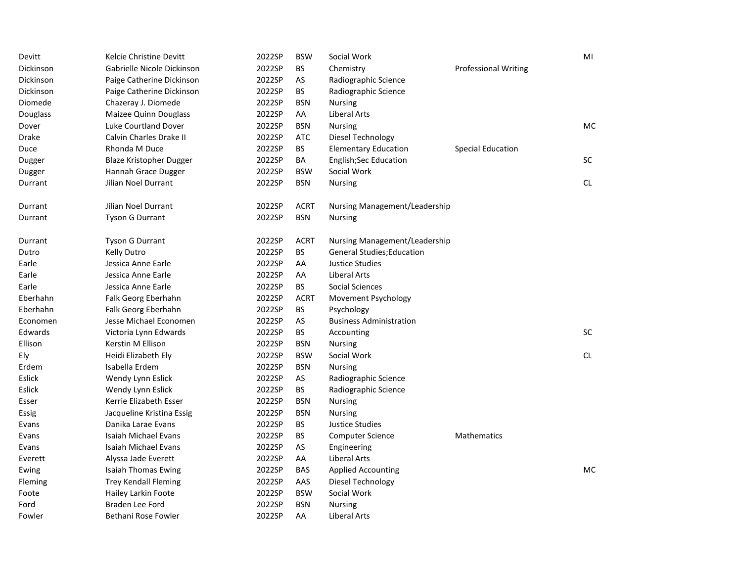| Devitt    | Kelcie Christine Devitt        | 2022SP | <b>BSW</b>  | Social Work                       |                             | MI        |
|-----------|--------------------------------|--------|-------------|-----------------------------------|-----------------------------|-----------|
| Dickinson | Gabrielle Nicole Dickinson     | 2022SP | BS.         | Chemistry                         | <b>Professional Writing</b> |           |
| Dickinson | Paige Catherine Dickinson      | 2022SP | AS          | Radiographic Science              |                             |           |
| Dickinson | Paige Catherine Dickinson      | 2022SP | <b>BS</b>   | Radiographic Science              |                             |           |
| Diomede   | Chazeray J. Diomede            | 2022SP | <b>BSN</b>  | <b>Nursing</b>                    |                             |           |
| Douglass  | Maizee Quinn Douglass          | 2022SP | AA          | Liberal Arts                      |                             |           |
| Dover     | Luke Courtland Dover           | 2022SP | <b>BSN</b>  | <b>Nursing</b>                    |                             | <b>MC</b> |
| Drake     | Calvin Charles Drake II        | 2022SP | <b>ATC</b>  | Diesel Technology                 |                             |           |
| Duce      | Rhonda M Duce                  | 2022SP | BS.         | <b>Elementary Education</b>       | <b>Special Education</b>    |           |
| Dugger    | <b>Blaze Kristopher Dugger</b> | 2022SP | BA          | <b>English;Sec Education</b>      |                             | <b>SC</b> |
| Dugger    | Hannah Grace Dugger            | 2022SP | <b>BSW</b>  | Social Work                       |                             |           |
| Durrant   | Jilian Noel Durrant            | 2022SP | <b>BSN</b>  | <b>Nursing</b>                    |                             | CL.       |
| Durrant   | Jilian Noel Durrant            | 2022SP | <b>ACRT</b> | Nursing Management/Leadership     |                             |           |
| Durrant   | <b>Tyson G Durrant</b>         | 2022SP | <b>BSN</b>  | <b>Nursing</b>                    |                             |           |
| Durrant   | Tyson G Durrant                | 2022SP | <b>ACRT</b> | Nursing Management/Leadership     |                             |           |
| Dutro     | <b>Kelly Dutro</b>             | 2022SP | BS.         | <b>General Studies; Education</b> |                             |           |
| Earle     | Jessica Anne Earle             | 2022SP | AA          | <b>Justice Studies</b>            |                             |           |
| Earle     | Jessica Anne Earle             | 2022SP | AA          | Liberal Arts                      |                             |           |
| Earle     | Jessica Anne Earle             | 2022SP | BS.         | Social Sciences                   |                             |           |
| Eberhahn  | Falk Georg Eberhahn            | 2022SP | <b>ACRT</b> | Movement Psychology               |                             |           |
| Eberhahn  | Falk Georg Eberhahn            | 2022SP | <b>BS</b>   | Psychology                        |                             |           |
| Economen  | Jesse Michael Economen         | 2022SP | AS          | <b>Business Administration</b>    |                             |           |
| Edwards   | Victoria Lynn Edwards          | 2022SP | <b>BS</b>   | Accounting                        |                             | <b>SC</b> |
| Ellison   | Kerstin M Ellison              | 2022SP | <b>BSN</b>  | <b>Nursing</b>                    |                             |           |
| Ely       | Heidi Elizabeth Ely            | 2022SP | <b>BSW</b>  | Social Work                       |                             | CL.       |
| Erdem     | Isabella Erdem                 | 2022SP | <b>BSN</b>  | <b>Nursing</b>                    |                             |           |
| Eslick    | Wendy Lynn Eslick              | 2022SP | AS          | Radiographic Science              |                             |           |
| Eslick    | Wendy Lynn Eslick              | 2022SP | BS.         | Radiographic Science              |                             |           |
| Esser     | Kerrie Elizabeth Esser         | 2022SP | <b>BSN</b>  | Nursing                           |                             |           |
| Essig     | Jacqueline Kristina Essig      | 2022SP | <b>BSN</b>  | <b>Nursing</b>                    |                             |           |
| Evans     | Danika Larae Evans             | 2022SP | BS.         | Justice Studies                   |                             |           |
| Evans     | Isaiah Michael Evans           | 2022SP | <b>BS</b>   | <b>Computer Science</b>           | Mathematics                 |           |
| Evans     | Isaiah Michael Evans           | 2022SP | AS          | Engineering                       |                             |           |
| Everett   | Alyssa Jade Everett            | 2022SP | AA          | Liberal Arts                      |                             |           |
| Ewing     | <b>Isaiah Thomas Ewing</b>     | 2022SP | <b>BAS</b>  | <b>Applied Accounting</b>         |                             | МC        |
| Fleming   | <b>Trey Kendall Fleming</b>    | 2022SP | AAS         | Diesel Technology                 |                             |           |
| Foote     | Hailey Larkin Foote            | 2022SP | <b>BSW</b>  | Social Work                       |                             |           |
| Ford      | Braden Lee Ford                | 2022SP | <b>BSN</b>  | <b>Nursing</b>                    |                             |           |
| Fowler    | Bethani Rose Fowler            | 2022SP | AA          | Liberal Arts                      |                             |           |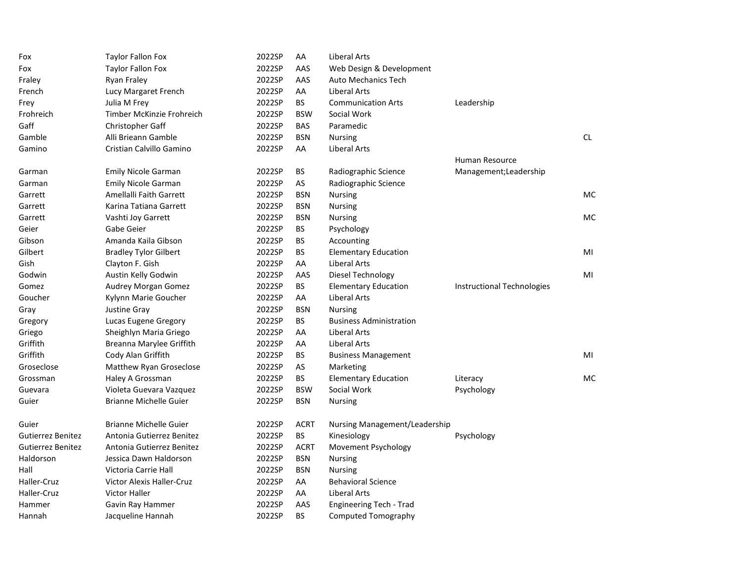| Fox                      | <b>Taylor Fallon Fox</b>         | 2022SP | AA          | <b>Liberal Arts</b>            |                            |     |
|--------------------------|----------------------------------|--------|-------------|--------------------------------|----------------------------|-----|
| Fox                      | <b>Taylor Fallon Fox</b>         | 2022SP | AAS         | Web Design & Development       |                            |     |
| Fraley                   | Ryan Fraley                      | 2022SP | AAS         | <b>Auto Mechanics Tech</b>     |                            |     |
| French                   | Lucy Margaret French             | 2022SP | AA          | <b>Liberal Arts</b>            |                            |     |
| Frey                     | Julia M Frey                     | 2022SP | <b>BS</b>   | <b>Communication Arts</b>      | Leadership                 |     |
| Frohreich                | Timber McKinzie Frohreich        | 2022SP | <b>BSW</b>  | Social Work                    |                            |     |
| Gaff                     | <b>Christopher Gaff</b>          | 2022SP | <b>BAS</b>  | Paramedic                      |                            |     |
| Gamble                   | Alli Brieann Gamble              | 2022SP | <b>BSN</b>  | <b>Nursing</b>                 |                            | CL. |
| Gamino                   | Cristian Calvillo Gamino         | 2022SP | AA          | Liberal Arts                   |                            |     |
|                          |                                  |        |             |                                | Human Resource             |     |
| Garman                   | <b>Emily Nicole Garman</b>       | 2022SP | <b>BS</b>   | Radiographic Science           | Management; Leadership     |     |
| Garman                   | <b>Emily Nicole Garman</b>       | 2022SP | AS          | Radiographic Science           |                            |     |
| Garrett                  | Amellalli Faith Garrett          | 2022SP | <b>BSN</b>  | <b>Nursing</b>                 |                            | MC  |
| Garrett                  | Karina Tatiana Garrett           | 2022SP | <b>BSN</b>  | Nursing                        |                            |     |
| Garrett                  | Vashti Joy Garrett               | 2022SP | <b>BSN</b>  | <b>Nursing</b>                 |                            | MC  |
| Geier                    | Gabe Geier                       | 2022SP | BS          | Psychology                     |                            |     |
| Gibson                   | Amanda Kaila Gibson              | 2022SP | <b>BS</b>   | Accounting                     |                            |     |
| Gilbert                  | <b>Bradley Tylor Gilbert</b>     | 2022SP | BS          | <b>Elementary Education</b>    |                            | MI  |
| Gish                     | Clayton F. Gish                  | 2022SP | AA          | Liberal Arts                   |                            |     |
| Godwin                   | Austin Kelly Godwin              | 2022SP | AAS         | Diesel Technology              |                            | MI  |
| Gomez                    | Audrey Morgan Gomez              | 2022SP | <b>BS</b>   | <b>Elementary Education</b>    | Instructional Technologies |     |
| Goucher                  | Kylynn Marie Goucher             | 2022SP | AA          | Liberal Arts                   |                            |     |
| Gray                     | Justine Gray                     | 2022SP | <b>BSN</b>  | <b>Nursing</b>                 |                            |     |
| Gregory                  | Lucas Eugene Gregory             | 2022SP | <b>BS</b>   | <b>Business Administration</b> |                            |     |
| Griego                   | Sheighlyn Maria Griego           | 2022SP | AA          | <b>Liberal Arts</b>            |                            |     |
| Griffith                 | Breanna Marylee Griffith         | 2022SP | AA          | Liberal Arts                   |                            |     |
| Griffith                 | Cody Alan Griffith               | 2022SP | <b>BS</b>   | <b>Business Management</b>     |                            | MI  |
| Groseclose               | Matthew Ryan Groseclose          | 2022SP | AS          | Marketing                      |                            |     |
| Grossman                 | Haley A Grossman                 | 2022SP | <b>BS</b>   | <b>Elementary Education</b>    | Literacy                   | MC  |
| Guevara                  | Violeta Guevara Vazquez          | 2022SP | <b>BSW</b>  | Social Work                    | Psychology                 |     |
| Guier                    | <b>Brianne Michelle Guier</b>    | 2022SP | <b>BSN</b>  | <b>Nursing</b>                 |                            |     |
| Guier                    | <b>Brianne Michelle Guier</b>    | 2022SP | <b>ACRT</b> | Nursing Management/Leadership  |                            |     |
| Gutierrez Benitez        | Antonia Gutierrez Benitez        | 2022SP | BS.         | Kinesiology                    | Psychology                 |     |
| <b>Gutierrez Benitez</b> | Antonia Gutierrez Benitez        | 2022SP | <b>ACRT</b> | Movement Psychology            |                            |     |
| Haldorson                | Jessica Dawn Haldorson           | 2022SP | <b>BSN</b>  | <b>Nursing</b>                 |                            |     |
| Hall                     | Victoria Carrie Hall             | 2022SP | <b>BSN</b>  | <b>Nursing</b>                 |                            |     |
| Haller-Cruz              | <b>Victor Alexis Haller-Cruz</b> | 2022SP | AA          | <b>Behavioral Science</b>      |                            |     |
| Haller-Cruz              | <b>Victor Haller</b>             | 2022SP | AA          | <b>Liberal Arts</b>            |                            |     |
| Hammer                   | Gavin Ray Hammer                 | 2022SP | AAS         | Engineering Tech - Trad        |                            |     |
| Hannah                   | Jacqueline Hannah                | 2022SP | <b>BS</b>   | <b>Computed Tomography</b>     |                            |     |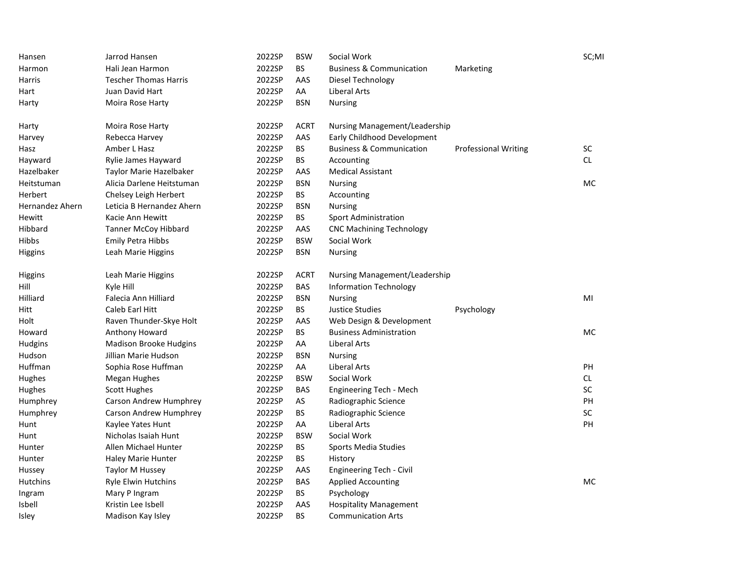| Hansen          | Jarrod Hansen                 | 2022SP | <b>BSW</b>  | Social Work                         |                             | SC;MI     |
|-----------------|-------------------------------|--------|-------------|-------------------------------------|-----------------------------|-----------|
| Harmon          | Hali Jean Harmon              | 2022SP | <b>BS</b>   | <b>Business &amp; Communication</b> | Marketing                   |           |
| Harris          | <b>Tescher Thomas Harris</b>  | 2022SP | AAS         | Diesel Technology                   |                             |           |
| Hart            | Juan David Hart               | 2022SP | AA          | <b>Liberal Arts</b>                 |                             |           |
| Harty           | Moira Rose Harty              | 2022SP | <b>BSN</b>  | <b>Nursing</b>                      |                             |           |
| Harty           | Moira Rose Harty              | 2022SP | <b>ACRT</b> | Nursing Management/Leadership       |                             |           |
| Harvey          | Rebecca Harvey                | 2022SP | AAS         | Early Childhood Development         |                             |           |
| Hasz            | Amber L Hasz                  | 2022SP | <b>BS</b>   | <b>Business &amp; Communication</b> | <b>Professional Writing</b> | SC        |
| Hayward         | Rylie James Hayward           | 2022SP | <b>BS</b>   | Accounting                          |                             | <b>CL</b> |
| Hazelbaker      | Taylor Marie Hazelbaker       | 2022SP | AAS         | <b>Medical Assistant</b>            |                             |           |
| Heitstuman      | Alicia Darlene Heitstuman     | 2022SP | <b>BSN</b>  | <b>Nursing</b>                      |                             | <b>MC</b> |
| Herbert         | Chelsey Leigh Herbert         | 2022SP | <b>BS</b>   | Accounting                          |                             |           |
| Hernandez Ahern | Leticia B Hernandez Ahern     | 2022SP | <b>BSN</b>  | Nursing                             |                             |           |
| Hewitt          | Kacie Ann Hewitt              | 2022SP | <b>BS</b>   | <b>Sport Administration</b>         |                             |           |
| Hibbard         | <b>Tanner McCoy Hibbard</b>   | 2022SP | AAS         | <b>CNC Machining Technology</b>     |                             |           |
| Hibbs           | <b>Emily Petra Hibbs</b>      | 2022SP | <b>BSW</b>  | Social Work                         |                             |           |
| Higgins         | Leah Marie Higgins            | 2022SP | <b>BSN</b>  | <b>Nursing</b>                      |                             |           |
| Higgins         | Leah Marie Higgins            | 2022SP | <b>ACRT</b> | Nursing Management/Leadership       |                             |           |
| Hill            | Kyle Hill                     | 2022SP | BAS         | <b>Information Technology</b>       |                             |           |
| Hilliard        | Falecia Ann Hilliard          | 2022SP | <b>BSN</b>  | <b>Nursing</b>                      |                             | MI        |
| Hitt            | Caleb Earl Hitt               | 2022SP | <b>BS</b>   | <b>Justice Studies</b>              | Psychology                  |           |
| Holt            | Raven Thunder-Skye Holt       | 2022SP | AAS         | Web Design & Development            |                             |           |
| Howard          | Anthony Howard                | 2022SP | BS          | <b>Business Administration</b>      |                             | <b>MC</b> |
| Hudgins         | <b>Madison Brooke Hudgins</b> | 2022SP | AA          | <b>Liberal Arts</b>                 |                             |           |
| Hudson          | Jillian Marie Hudson          | 2022SP | <b>BSN</b>  | <b>Nursing</b>                      |                             |           |
| Huffman         | Sophia Rose Huffman           | 2022SP | AA          | <b>Liberal Arts</b>                 |                             | PH        |
| Hughes          | <b>Megan Hughes</b>           | 2022SP | <b>BSW</b>  | Social Work                         |                             | <b>CL</b> |
| Hughes          | <b>Scott Hughes</b>           | 2022SP | <b>BAS</b>  | Engineering Tech - Mech             |                             | SC        |
| Humphrey        | Carson Andrew Humphrey        | 2022SP | AS          | Radiographic Science                |                             | PH        |
| Humphrey        | Carson Andrew Humphrey        | 2022SP | <b>BS</b>   | Radiographic Science                |                             | <b>SC</b> |
| Hunt            | Kaylee Yates Hunt             | 2022SP | AA          | <b>Liberal Arts</b>                 |                             | PH        |
| Hunt            | Nicholas Isaiah Hunt          | 2022SP | <b>BSW</b>  | Social Work                         |                             |           |
| Hunter          | Allen Michael Hunter          | 2022SP | BS          | <b>Sports Media Studies</b>         |                             |           |
| Hunter          | Haley Marie Hunter            | 2022SP | BS          | History                             |                             |           |
| Hussey          | <b>Taylor M Hussey</b>        | 2022SP | AAS         | Engineering Tech - Civil            |                             |           |
| Hutchins        | <b>Ryle Elwin Hutchins</b>    | 2022SP | <b>BAS</b>  | <b>Applied Accounting</b>           |                             | <b>MC</b> |
| Ingram          | Mary P Ingram                 | 2022SP | <b>BS</b>   | Psychology                          |                             |           |
| <b>Isbell</b>   | Kristin Lee Isbell            | 2022SP | AAS         | <b>Hospitality Management</b>       |                             |           |
| <b>Isley</b>    | Madison Kay Isley             | 2022SP | <b>BS</b>   | <b>Communication Arts</b>           |                             |           |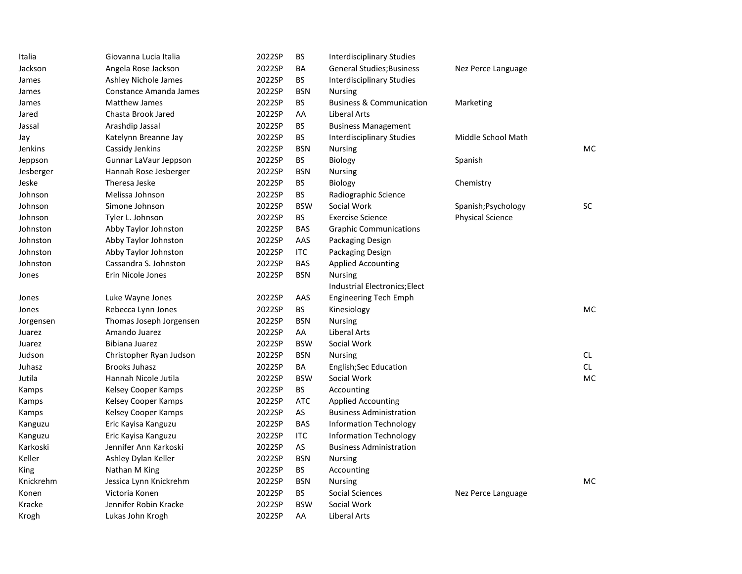| Italia         | Giovanna Lucia Italia   | 2022SP | BS         | <b>Interdisciplinary Studies</b>    |                         |     |
|----------------|-------------------------|--------|------------|-------------------------------------|-------------------------|-----|
| Jackson        | Angela Rose Jackson     | 2022SP | BA         | <b>General Studies; Business</b>    | Nez Perce Language      |     |
| James          | Ashley Nichole James    | 2022SP | BS         | <b>Interdisciplinary Studies</b>    |                         |     |
| James          | Constance Amanda James  | 2022SP | <b>BSN</b> | <b>Nursing</b>                      |                         |     |
| James          | Matthew James           | 2022SP | <b>BS</b>  | <b>Business &amp; Communication</b> | Marketing               |     |
| Jared          | Chasta Brook Jared      | 2022SP | AA         | <b>Liberal Arts</b>                 |                         |     |
| Jassal         | Arashdip Jassal         | 2022SP | <b>BS</b>  | <b>Business Management</b>          |                         |     |
| Jay            | Katelynn Breanne Jay    | 2022SP | BS         | <b>Interdisciplinary Studies</b>    | Middle School Math      |     |
| <b>Jenkins</b> | Cassidy Jenkins         | 2022SP | <b>BSN</b> | <b>Nursing</b>                      |                         | MC. |
| Jeppson        | Gunnar LaVaur Jeppson   | 2022SP | <b>BS</b>  | Biology                             | Spanish                 |     |
| Jesberger      | Hannah Rose Jesberger   | 2022SP | <b>BSN</b> | Nursing                             |                         |     |
| Jeske          | Theresa Jeske           | 2022SP | <b>BS</b>  | Biology                             | Chemistry               |     |
| Johnson        | Melissa Johnson         | 2022SP | ВS         | Radiographic Science                |                         |     |
| Johnson        | Simone Johnson          | 2022SP | <b>BSW</b> | Social Work                         | Spanish; Psychology     | SC  |
| Johnson        | Tyler L. Johnson        | 2022SP | <b>BS</b>  | <b>Exercise Science</b>             | <b>Physical Science</b> |     |
| Johnston       | Abby Taylor Johnston    | 2022SP | <b>BAS</b> | <b>Graphic Communications</b>       |                         |     |
| Johnston       | Abby Taylor Johnston    | 2022SP | AAS        | Packaging Design                    |                         |     |
| Johnston       | Abby Taylor Johnston    | 2022SP | <b>ITC</b> | Packaging Design                    |                         |     |
| Johnston       | Cassandra S. Johnston   | 2022SP | <b>BAS</b> | <b>Applied Accounting</b>           |                         |     |
| Jones          | Erin Nicole Jones       | 2022SP | <b>BSN</b> | <b>Nursing</b>                      |                         |     |
|                |                         |        |            | Industrial Electronics; Elect       |                         |     |
| Jones          | Luke Wayne Jones        | 2022SP | AAS        | <b>Engineering Tech Emph</b>        |                         |     |
| Jones          | Rebecca Lynn Jones      | 2022SP | BS         | Kinesiology                         |                         | MC. |
| Jorgensen      | Thomas Joseph Jorgensen | 2022SP | <b>BSN</b> | <b>Nursing</b>                      |                         |     |
| Juarez         | Amando Juarez           | 2022SP | AA         | <b>Liberal Arts</b>                 |                         |     |
| Juarez         | Bibiana Juarez          | 2022SP | <b>BSW</b> | Social Work                         |                         |     |
| Judson         | Christopher Ryan Judson | 2022SP | <b>BSN</b> | <b>Nursing</b>                      |                         | CL. |
| Juhasz         | <b>Brooks Juhasz</b>    | 2022SP | BA         | <b>English;Sec Education</b>        |                         | CL. |
| Jutila         | Hannah Nicole Jutila    | 2022SP | <b>BSW</b> | Social Work                         |                         | MC. |
| Kamps          | Kelsey Cooper Kamps     | 2022SP | <b>BS</b>  | Accounting                          |                         |     |
| Kamps          | Kelsey Cooper Kamps     | 2022SP | <b>ATC</b> | <b>Applied Accounting</b>           |                         |     |
| Kamps          | Kelsey Cooper Kamps     | 2022SP | AS         | <b>Business Administration</b>      |                         |     |
| Kanguzu        | Eric Kayisa Kanguzu     | 2022SP | <b>BAS</b> | <b>Information Technology</b>       |                         |     |
| Kanguzu        | Eric Kayisa Kanguzu     | 2022SP | ITC        | <b>Information Technology</b>       |                         |     |
| Karkoski       | Jennifer Ann Karkoski   | 2022SP | AS         | <b>Business Administration</b>      |                         |     |
| Keller         | Ashley Dylan Keller     | 2022SP | <b>BSN</b> | <b>Nursing</b>                      |                         |     |
| King           | Nathan M King           | 2022SP | BS         | Accounting                          |                         |     |
| Knickrehm      | Jessica Lynn Knickrehm  | 2022SP | <b>BSN</b> | <b>Nursing</b>                      |                         | MC. |
| Konen          | Victoria Konen          | 2022SP | ВS         | Social Sciences                     | Nez Perce Language      |     |
| Kracke         | Jennifer Robin Kracke   | 2022SP | <b>BSW</b> | Social Work                         |                         |     |
| Krogh          | Lukas John Krogh        | 2022SP | AA         | Liberal Arts                        |                         |     |
|                |                         |        |            |                                     |                         |     |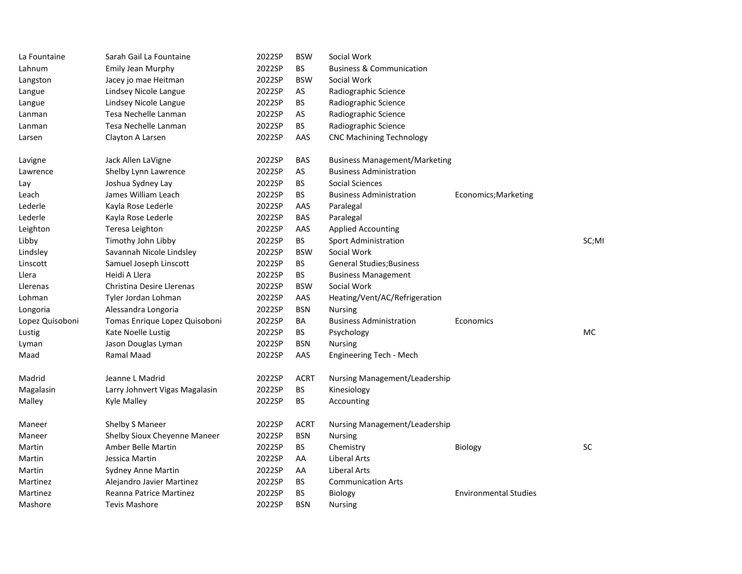| La Fountaine    | Sarah Gail La Fountaine          | 2022SP | <b>BSW</b>  | Social Work                          |                              |           |
|-----------------|----------------------------------|--------|-------------|--------------------------------------|------------------------------|-----------|
| Lahnum          | Emily Jean Murphy                | 2022SP | <b>BS</b>   | <b>Business &amp; Communication</b>  |                              |           |
| Langston        | Jacey jo mae Heitman             | 2022SP | <b>BSW</b>  | Social Work                          |                              |           |
| Langue          | Lindsey Nicole Langue            | 2022SP | AS          | Radiographic Science                 |                              |           |
| Langue          | Lindsey Nicole Langue            | 2022SP | ВS          | Radiographic Science                 |                              |           |
| Lanman          | Tesa Nechelle Lanman             | 2022SP | AS          | Radiographic Science                 |                              |           |
| Lanman          | Tesa Nechelle Lanman             | 2022SP | BS.         | Radiographic Science                 |                              |           |
| Larsen          | Clayton A Larsen                 | 2022SP | AAS         | <b>CNC Machining Technology</b>      |                              |           |
| Lavigne         | Jack Allen LaVigne               | 2022SP | <b>BAS</b>  | <b>Business Management/Marketing</b> |                              |           |
| Lawrence        | Shelby Lynn Lawrence             | 2022SP | AS          | <b>Business Administration</b>       |                              |           |
| Lay             | Joshua Sydney Lay                | 2022SP | BS          | Social Sciences                      |                              |           |
| Leach           | James William Leach              | 2022SP | BS          | <b>Business Administration</b>       | Economics; Marketing         |           |
| Lederle         | Kayla Rose Lederle               | 2022SP | AAS         | Paralegal                            |                              |           |
| Lederle         | Kayla Rose Lederle               | 2022SP | <b>BAS</b>  | Paralegal                            |                              |           |
| Leighton        | Teresa Leighton                  | 2022SP | AAS         | <b>Applied Accounting</b>            |                              |           |
| Libby           | Timothy John Libby               | 2022SP | <b>BS</b>   | <b>Sport Administration</b>          |                              | SC;MI     |
| Lindsley        | Savannah Nicole Lindsley         | 2022SP | <b>BSW</b>  | Social Work                          |                              |           |
| Linscott        | Samuel Joseph Linscott           | 2022SP | BS          | <b>General Studies; Business</b>     |                              |           |
| Llera           | Heidi A Llera                    | 2022SP | <b>BS</b>   | <b>Business Management</b>           |                              |           |
| Llerenas        | <b>Christina Desire Llerenas</b> | 2022SP | <b>BSW</b>  | Social Work                          |                              |           |
| Lohman          | Tyler Jordan Lohman              | 2022SP | AAS         | Heating/Vent/AC/Refrigeration        |                              |           |
| Longoria        | Alessandra Longoria              | 2022SP | <b>BSN</b>  | <b>Nursing</b>                       |                              |           |
| Lopez Quisoboni | Tomas Enrique Lopez Quisoboni    | 2022SP | BA          | <b>Business Administration</b>       | Economics                    |           |
| Lustig          | Kate Noelle Lustig               | 2022SP | <b>BS</b>   | Psychology                           |                              | <b>MC</b> |
| Lyman           | Jason Douglas Lyman              | 2022SP | <b>BSN</b>  | <b>Nursing</b>                       |                              |           |
| Maad            | Ramal Maad                       | 2022SP | AAS         | Engineering Tech - Mech              |                              |           |
| Madrid          | Jeanne L Madrid                  | 2022SP | <b>ACRT</b> | Nursing Management/Leadership        |                              |           |
| Magalasin       | Larry Johnvert Vigas Magalasin   | 2022SP | <b>BS</b>   | Kinesiology                          |                              |           |
| Malley          | Kyle Malley                      | 2022SP | <b>BS</b>   | Accounting                           |                              |           |
| Maneer          | Shelby S Maneer                  | 2022SP | ACRT        | Nursing Management/Leadership        |                              |           |
| Maneer          | Shelby Sioux Cheyenne Maneer     | 2022SP | <b>BSN</b>  | Nursing                              |                              |           |
| Martin          | Amber Belle Martin               | 2022SP | <b>BS</b>   | Chemistry                            | Biology                      | SC        |
| Martin          | Jessica Martin                   | 2022SP | AA          | Liberal Arts                         |                              |           |
| Martin          | Sydney Anne Martin               | 2022SP | AA          | Liberal Arts                         |                              |           |
| Martinez        | Alejandro Javier Martinez        | 2022SP | BS          | <b>Communication Arts</b>            |                              |           |
| Martinez        | Reanna Patrice Martinez          | 2022SP | BS          | <b>Biology</b>                       | <b>Environmental Studies</b> |           |
| Mashore         | Tevis Mashore                    | 2022SP | <b>BSN</b>  | Nursing                              |                              |           |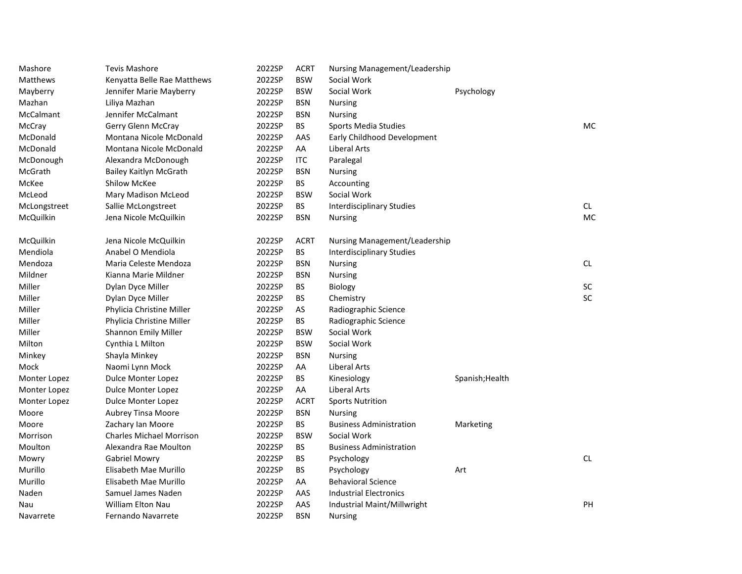| Mashore         | <b>Tevis Mashore</b>            | 2022SP | <b>ACRT</b> | Nursing Management/Leadership    |                 |           |
|-----------------|---------------------------------|--------|-------------|----------------------------------|-----------------|-----------|
| <b>Matthews</b> | Kenyatta Belle Rae Matthews     | 2022SP | <b>BSW</b>  | Social Work                      |                 |           |
| Mayberry        | Jennifer Marie Mayberry         | 2022SP | <b>BSW</b>  | Social Work                      | Psychology      |           |
| Mazhan          | Liliya Mazhan                   | 2022SP | <b>BSN</b>  | <b>Nursing</b>                   |                 |           |
| McCalmant       | Jennifer McCalmant              | 2022SP | <b>BSN</b>  | <b>Nursing</b>                   |                 |           |
| McCray          | Gerry Glenn McCray              | 2022SP | <b>BS</b>   | Sports Media Studies             |                 | <b>MC</b> |
| McDonald        | Montana Nicole McDonald         | 2022SP | AAS         | Early Childhood Development      |                 |           |
| McDonald        | Montana Nicole McDonald         | 2022SP | AA          | Liberal Arts                     |                 |           |
| McDonough       | Alexandra McDonough             | 2022SP | <b>ITC</b>  | Paralegal                        |                 |           |
| McGrath         | Bailey Kaitlyn McGrath          | 2022SP | <b>BSN</b>  | <b>Nursing</b>                   |                 |           |
| McKee           | <b>Shilow McKee</b>             | 2022SP | <b>BS</b>   | Accounting                       |                 |           |
| McLeod          | Mary Madison McLeod             | 2022SP | <b>BSW</b>  | Social Work                      |                 |           |
| McLongstreet    | Sallie McLongstreet             | 2022SP | <b>BS</b>   | <b>Interdisciplinary Studies</b> |                 | CL        |
| McQuilkin       | Jena Nicole McQuilkin           | 2022SP | <b>BSN</b>  | <b>Nursing</b>                   |                 | <b>MC</b> |
| McQuilkin       | Jena Nicole McQuilkin           | 2022SP | <b>ACRT</b> | Nursing Management/Leadership    |                 |           |
| Mendiola        | Anabel O Mendiola               | 2022SP | <b>BS</b>   | <b>Interdisciplinary Studies</b> |                 |           |
| Mendoza         | Maria Celeste Mendoza           | 2022SP | <b>BSN</b>  | <b>Nursing</b>                   |                 | CL        |
| Mildner         | Kianna Marie Mildner            | 2022SP | <b>BSN</b>  | Nursing                          |                 |           |
| Miller          | Dylan Dyce Miller               | 2022SP | BS          | Biology                          |                 | SC        |
| Miller          | Dylan Dyce Miller               | 2022SP | <b>BS</b>   | Chemistry                        |                 | <b>SC</b> |
| Miller          | Phylicia Christine Miller       | 2022SP | AS          | Radiographic Science             |                 |           |
| Miller          | Phylicia Christine Miller       | 2022SP | <b>BS</b>   | Radiographic Science             |                 |           |
| Miller          | Shannon Emily Miller            | 2022SP | <b>BSW</b>  | Social Work                      |                 |           |
| Milton          | Cynthia L Milton                | 2022SP | <b>BSW</b>  | Social Work                      |                 |           |
| Minkey          | Shayla Minkey                   | 2022SP | <b>BSN</b>  | <b>Nursing</b>                   |                 |           |
| Mock            | Naomi Lynn Mock                 | 2022SP | AA          | Liberal Arts                     |                 |           |
| Monter Lopez    | Dulce Monter Lopez              | 2022SP | <b>BS</b>   | Kinesiology                      | Spanish; Health |           |
| Monter Lopez    | Dulce Monter Lopez              | 2022SP | AA          | Liberal Arts                     |                 |           |
| Monter Lopez    | <b>Dulce Monter Lopez</b>       | 2022SP | <b>ACRT</b> | <b>Sports Nutrition</b>          |                 |           |
| Moore           | Aubrey Tinsa Moore              | 2022SP | <b>BSN</b>  | <b>Nursing</b>                   |                 |           |
| Moore           | Zachary Ian Moore               | 2022SP | BS          | <b>Business Administration</b>   | Marketing       |           |
| Morrison        | <b>Charles Michael Morrison</b> | 2022SP | <b>BSW</b>  | Social Work                      |                 |           |
| Moulton         | Alexandra Rae Moulton           | 2022SP | <b>BS</b>   | <b>Business Administration</b>   |                 |           |
| Mowry           | Gabriel Mowry                   | 2022SP | <b>BS</b>   | Psychology                       |                 | CL        |
| Murillo         | Elisabeth Mae Murillo           | 2022SP | BS          | Psychology                       | Art             |           |
| Murillo         | Elisabeth Mae Murillo           | 2022SP | AA          | <b>Behavioral Science</b>        |                 |           |
| Naden           | Samuel James Naden              | 2022SP | AAS         | <b>Industrial Electronics</b>    |                 |           |
| Nau             | <b>William Elton Nau</b>        | 2022SP | AAS         | Industrial Maint/Millwright      |                 | PH        |
| Navarrete       | Fernando Navarrete              | 2022SP | <b>BSN</b>  | Nursing                          |                 |           |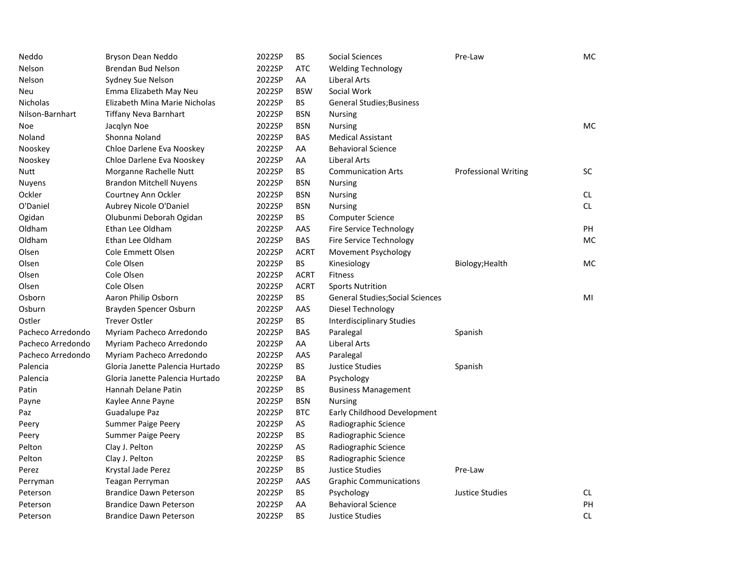| Neddo             | Bryson Dean Neddo               | 2022SP | BS          | <b>Social Sciences</b>                  | Pre-Law                     | МC        |
|-------------------|---------------------------------|--------|-------------|-----------------------------------------|-----------------------------|-----------|
| Nelson            | <b>Brendan Bud Nelson</b>       | 2022SP | <b>ATC</b>  | <b>Welding Technology</b>               |                             |           |
| Nelson            | Sydney Sue Nelson               | 2022SP | AA          | <b>Liberal Arts</b>                     |                             |           |
| Neu               | Emma Elizabeth May Neu          | 2022SP | <b>BSW</b>  | Social Work                             |                             |           |
| <b>Nicholas</b>   | Elizabeth Mina Marie Nicholas   | 2022SP | <b>BS</b>   | <b>General Studies; Business</b>        |                             |           |
| Nilson-Barnhart   | <b>Tiffany Neva Barnhart</b>    | 2022SP | <b>BSN</b>  | <b>Nursing</b>                          |                             |           |
| Noe               | Jacqlyn Noe                     | 2022SP | <b>BSN</b>  | <b>Nursing</b>                          |                             | MC        |
| Noland            | Shonna Noland                   | 2022SP | <b>BAS</b>  | <b>Medical Assistant</b>                |                             |           |
| Nooskey           | Chloe Darlene Eva Nooskey       | 2022SP | AA          | <b>Behavioral Science</b>               |                             |           |
| Nooskey           | Chloe Darlene Eva Nooskey       | 2022SP | AA          | <b>Liberal Arts</b>                     |                             |           |
| Nutt              | Morganne Rachelle Nutt          | 2022SP | <b>BS</b>   | <b>Communication Arts</b>               | <b>Professional Writing</b> | SC        |
| Nuyens            | <b>Brandon Mitchell Nuyens</b>  | 2022SP | <b>BSN</b>  | <b>Nursing</b>                          |                             |           |
| Ockler            | Courtney Ann Ockler             | 2022SP | <b>BSN</b>  | <b>Nursing</b>                          |                             | CL.       |
| O'Daniel          | Aubrey Nicole O'Daniel          | 2022SP | <b>BSN</b>  | <b>Nursing</b>                          |                             | <b>CL</b> |
| Ogidan            | Olubunmi Deborah Ogidan         | 2022SP | <b>BS</b>   | <b>Computer Science</b>                 |                             |           |
| Oldham            | Ethan Lee Oldham                | 2022SP | AAS         | Fire Service Technology                 |                             | PH        |
| Oldham            | Ethan Lee Oldham                | 2022SP | BAS         | Fire Service Technology                 |                             | <b>MC</b> |
| Olsen             | <b>Cole Emmett Olsen</b>        | 2022SP | <b>ACRT</b> | Movement Psychology                     |                             |           |
| Olsen             | Cole Olsen                      | 2022SP | BS.         | Kinesiology                             | Biology; Health             | <b>MC</b> |
| Olsen             | Cole Olsen                      | 2022SP | <b>ACRT</b> | <b>Fitness</b>                          |                             |           |
| Olsen             | Cole Olsen                      | 2022SP | <b>ACRT</b> | <b>Sports Nutrition</b>                 |                             |           |
| Osborn            | Aaron Philip Osborn             | 2022SP | <b>BS</b>   | <b>General Studies; Social Sciences</b> |                             | MI        |
| Osburn            | Brayden Spencer Osburn          | 2022SP | AAS         | Diesel Technology                       |                             |           |
| Ostler            | <b>Trever Ostler</b>            | 2022SP | BS          | <b>Interdisciplinary Studies</b>        |                             |           |
| Pacheco Arredondo | Myriam Pacheco Arredondo        | 2022SP | <b>BAS</b>  | Paralegal                               | Spanish                     |           |
| Pacheco Arredondo | Myriam Pacheco Arredondo        | 2022SP | AA          | Liberal Arts                            |                             |           |
| Pacheco Arredondo | Myriam Pacheco Arredondo        | 2022SP | AAS         | Paralegal                               |                             |           |
| Palencia          | Gloria Janette Palencia Hurtado | 2022SP | <b>BS</b>   | <b>Justice Studies</b>                  | Spanish                     |           |
| Palencia          | Gloria Janette Palencia Hurtado | 2022SP | ΒA          | Psychology                              |                             |           |
| Patin             | Hannah Delane Patin             | 2022SP | ВS          | <b>Business Management</b>              |                             |           |
| Payne             | Kaylee Anne Payne               | 2022SP | <b>BSN</b>  | <b>Nursing</b>                          |                             |           |
| Paz               | Guadalupe Paz                   | 2022SP | <b>BTC</b>  | Early Childhood Development             |                             |           |
| Peery             | <b>Summer Paige Peery</b>       | 2022SP | AS          | Radiographic Science                    |                             |           |
| Peery             | <b>Summer Paige Peery</b>       | 2022SP | BS          | Radiographic Science                    |                             |           |
| Pelton            | Clay J. Pelton                  | 2022SP | AS          | Radiographic Science                    |                             |           |
| Pelton            | Clay J. Pelton                  | 2022SP | BS          | Radiographic Science                    |                             |           |
| Perez             | Krystal Jade Perez              | 2022SP | BS          | <b>Justice Studies</b>                  | Pre-Law                     |           |
| Perryman          | Teagan Perryman                 | 2022SP | AAS         | <b>Graphic Communications</b>           |                             |           |
| Peterson          | <b>Brandice Dawn Peterson</b>   | 2022SP | ВS          | Psychology                              | <b>Justice Studies</b>      | CL.       |
| Peterson          | <b>Brandice Dawn Peterson</b>   | 2022SP | AA          | <b>Behavioral Science</b>               |                             | PH        |
| Peterson          | <b>Brandice Dawn Peterson</b>   | 2022SP | <b>BS</b>   | Justice Studies                         |                             | <b>CL</b> |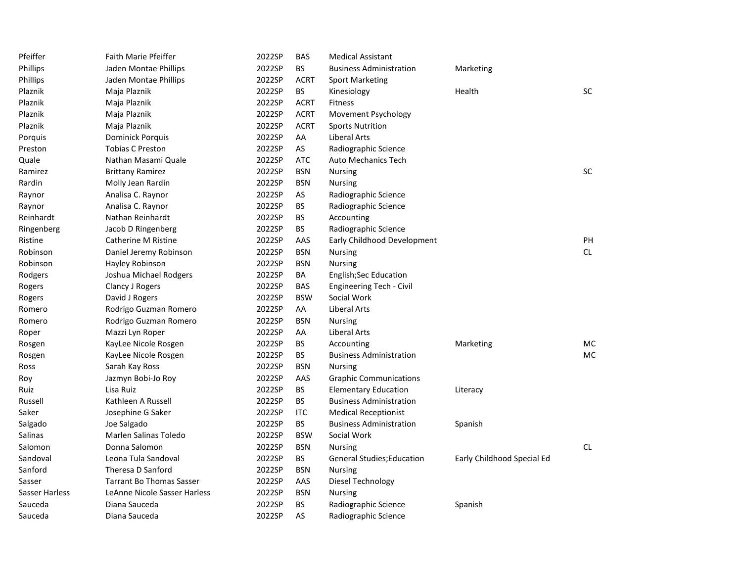| Pfeiffer       | <b>Faith Marie Pfeiffer</b>     | 2022SP | <b>BAS</b>  | <b>Medical Assistant</b>          |                            |           |
|----------------|---------------------------------|--------|-------------|-----------------------------------|----------------------------|-----------|
| Phillips       | Jaden Montae Phillips           | 2022SP | <b>BS</b>   | <b>Business Administration</b>    | Marketing                  |           |
| Phillips       | Jaden Montae Phillips           | 2022SP | <b>ACRT</b> | <b>Sport Marketing</b>            |                            |           |
| Plaznik        | Maja Plaznik                    | 2022SP | BS.         | Kinesiology                       | Health                     | SC        |
| Plaznik        | Maja Plaznik                    | 2022SP | <b>ACRT</b> | <b>Fitness</b>                    |                            |           |
| Plaznik        | Maja Plaznik                    | 2022SP | <b>ACRT</b> | Movement Psychology               |                            |           |
| Plaznik        | Maja Plaznik                    | 2022SP | <b>ACRT</b> | <b>Sports Nutrition</b>           |                            |           |
| Porquis        | <b>Dominick Porquis</b>         | 2022SP | AA          | Liberal Arts                      |                            |           |
| Preston        | <b>Tobias C Preston</b>         | 2022SP | AS          | Radiographic Science              |                            |           |
| Quale          | Nathan Masami Quale             | 2022SP | <b>ATC</b>  | <b>Auto Mechanics Tech</b>        |                            |           |
| Ramirez        | <b>Brittany Ramirez</b>         | 2022SP | <b>BSN</b>  | <b>Nursing</b>                    |                            | <b>SC</b> |
| Rardin         | Molly Jean Rardin               | 2022SP | <b>BSN</b>  | <b>Nursing</b>                    |                            |           |
| Raynor         | Analisa C. Raynor               | 2022SP | AS          | Radiographic Science              |                            |           |
| Raynor         | Analisa C. Raynor               | 2022SP | <b>BS</b>   | Radiographic Science              |                            |           |
| Reinhardt      | Nathan Reinhardt                | 2022SP | <b>BS</b>   | Accounting                        |                            |           |
| Ringenberg     | Jacob D Ringenberg              | 2022SP | <b>BS</b>   | Radiographic Science              |                            |           |
| Ristine        | <b>Catherine M Ristine</b>      | 2022SP | AAS         | Early Childhood Development       |                            | PH        |
| Robinson       | Daniel Jeremy Robinson          | 2022SP | <b>BSN</b>  | <b>Nursing</b>                    |                            | <b>CL</b> |
| Robinson       | Hayley Robinson                 | 2022SP | <b>BSN</b>  | <b>Nursing</b>                    |                            |           |
| Rodgers        | Joshua Michael Rodgers          | 2022SP | BA          | <b>English;Sec Education</b>      |                            |           |
| Rogers         | Clancy J Rogers                 | 2022SP | <b>BAS</b>  | <b>Engineering Tech - Civil</b>   |                            |           |
| Rogers         | David J Rogers                  | 2022SP | <b>BSW</b>  | Social Work                       |                            |           |
| Romero         | Rodrigo Guzman Romero           | 2022SP | AA          | <b>Liberal Arts</b>               |                            |           |
| Romero         | Rodrigo Guzman Romero           | 2022SP | <b>BSN</b>  | <b>Nursing</b>                    |                            |           |
| Roper          | Mazzi Lyn Roper                 | 2022SP | AA          | Liberal Arts                      |                            |           |
| Rosgen         | KayLee Nicole Rosgen            | 2022SP | <b>BS</b>   | Accounting                        | Marketing                  | MC        |
| Rosgen         | KayLee Nicole Rosgen            | 2022SP | <b>BS</b>   | <b>Business Administration</b>    |                            | <b>MC</b> |
| Ross           | Sarah Kay Ross                  | 2022SP | <b>BSN</b>  | <b>Nursing</b>                    |                            |           |
| Roy            | Jazmyn Bobi-Jo Roy              | 2022SP | AAS         | <b>Graphic Communications</b>     |                            |           |
| Ruiz           | Lisa Ruiz                       | 2022SP | <b>BS</b>   | <b>Elementary Education</b>       | Literacy                   |           |
| Russell        | Kathleen A Russell              | 2022SP | <b>BS</b>   | <b>Business Administration</b>    |                            |           |
| Saker          | Josephine G Saker               | 2022SP | <b>ITC</b>  | <b>Medical Receptionist</b>       |                            |           |
| Salgado        | Joe Salgado                     | 2022SP | BS.         | <b>Business Administration</b>    | Spanish                    |           |
| Salinas        | Marlen Salinas Toledo           | 2022SP | <b>BSW</b>  | Social Work                       |                            |           |
| Salomon        | Donna Salomon                   | 2022SP | <b>BSN</b>  | <b>Nursing</b>                    |                            | CL        |
| Sandoval       | Leona Tula Sandoval             | 2022SP | BS.         | <b>General Studies; Education</b> | Early Childhood Special Ed |           |
| Sanford        | Theresa D Sanford               | 2022SP | <b>BSN</b>  | <b>Nursing</b>                    |                            |           |
| Sasser         | <b>Tarrant Bo Thomas Sasser</b> | 2022SP | AAS         | Diesel Technology                 |                            |           |
| Sasser Harless | LeAnne Nicole Sasser Harless    | 2022SP | <b>BSN</b>  | <b>Nursing</b>                    |                            |           |
| Sauceda        | Diana Sauceda                   | 2022SP | <b>BS</b>   | Radiographic Science              | Spanish                    |           |
| Sauceda        | Diana Sauceda                   | 2022SP | AS          | Radiographic Science              |                            |           |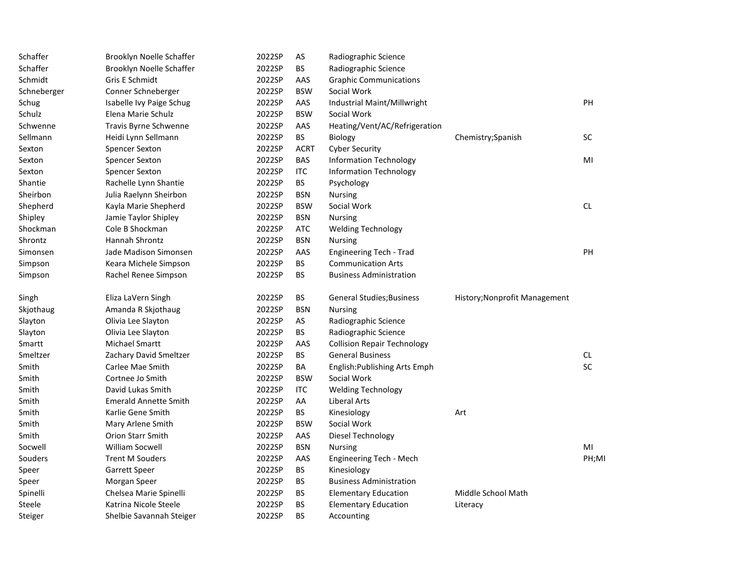| Schaffer    | Brooklyn Noelle Schaffer     | 2022SP | AS          | Radiographic Science               |                               |           |
|-------------|------------------------------|--------|-------------|------------------------------------|-------------------------------|-----------|
| Schaffer    | Brooklyn Noelle Schaffer     | 2022SP | <b>BS</b>   | Radiographic Science               |                               |           |
| Schmidt     | Gris E Schmidt               | 2022SP | AAS         | <b>Graphic Communications</b>      |                               |           |
| Schneberger | Conner Schneberger           | 2022SP | <b>BSW</b>  | Social Work                        |                               |           |
| Schug       | Isabelle Ivy Paige Schug     | 2022SP | AAS         | Industrial Maint/Millwright        |                               | PH        |
| Schulz      | Elena Marie Schulz           | 2022SP | <b>BSW</b>  | Social Work                        |                               |           |
| Schwenne    | Travis Byrne Schwenne        | 2022SP | AAS         | Heating/Vent/AC/Refrigeration      |                               |           |
| Sellmann    | Heidi Lynn Sellmann          | 2022SP | <b>BS</b>   | <b>Biology</b>                     | Chemistry; Spanish            | <b>SC</b> |
| Sexton      | <b>Spencer Sexton</b>        | 2022SP | <b>ACRT</b> | <b>Cyber Security</b>              |                               |           |
| Sexton      | <b>Spencer Sexton</b>        | 2022SP | BAS         | <b>Information Technology</b>      |                               | MI        |
| Sexton      | <b>Spencer Sexton</b>        | 2022SP | <b>ITC</b>  | <b>Information Technology</b>      |                               |           |
| Shantie     | Rachelle Lynn Shantie        | 2022SP | BS          | Psychology                         |                               |           |
| Sheirbon    | Julia Raelynn Sheirbon       | 2022SP | <b>BSN</b>  | <b>Nursing</b>                     |                               |           |
| Shepherd    | Kayla Marie Shepherd         | 2022SP | <b>BSW</b>  | Social Work                        |                               | <b>CL</b> |
| Shipley     | Jamie Taylor Shipley         | 2022SP | <b>BSN</b>  | <b>Nursing</b>                     |                               |           |
| Shockman    | Cole B Shockman              | 2022SP | ATC         | <b>Welding Technology</b>          |                               |           |
| Shrontz     | Hannah Shrontz               | 2022SP | <b>BSN</b>  | <b>Nursing</b>                     |                               |           |
| Simonsen    | Jade Madison Simonsen        | 2022SP | AAS         | Engineering Tech - Trad            |                               | PH        |
| Simpson     | Keara Michele Simpson        | 2022SP | BS          | <b>Communication Arts</b>          |                               |           |
| Simpson     | Rachel Renee Simpson         | 2022SP | BS.         | <b>Business Administration</b>     |                               |           |
| Singh       | Eliza LaVern Singh           | 2022SP | ВS          | <b>General Studies; Business</b>   | History; Nonprofit Management |           |
| Skjothaug   | Amanda R Skjothaug           | 2022SP | <b>BSN</b>  | <b>Nursing</b>                     |                               |           |
| Slayton     | Olivia Lee Slayton           | 2022SP | AS          | Radiographic Science               |                               |           |
| Slayton     | Olivia Lee Slayton           | 2022SP | <b>BS</b>   | Radiographic Science               |                               |           |
| Smartt      | Michael Smartt               | 2022SP | AAS         | <b>Collision Repair Technology</b> |                               |           |
| Smeltzer    | Zachary David Smeltzer       | 2022SP | BS          | <b>General Business</b>            |                               | CL        |
| Smith       | Carlee Mae Smith             | 2022SP | BA          | English: Publishing Arts Emph      |                               | <b>SC</b> |
| Smith       | Cortnee Jo Smith             | 2022SP | <b>BSW</b>  | Social Work                        |                               |           |
| Smith       | David Lukas Smith            | 2022SP | ITC         | <b>Welding Technology</b>          |                               |           |
| Smith       | <b>Emerald Annette Smith</b> | 2022SP | AA          | Liberal Arts                       |                               |           |
| Smith       | Karlie Gene Smith            | 2022SP | <b>BS</b>   | Kinesiology                        | Art                           |           |
| Smith       | Mary Arlene Smith            | 2022SP | <b>BSW</b>  | Social Work                        |                               |           |
| Smith       | Orion Starr Smith            | 2022SP | AAS         | Diesel Technology                  |                               |           |
| Socwell     | <b>William Socwell</b>       | 2022SP | <b>BSN</b>  | <b>Nursing</b>                     |                               | MI        |
| Souders     | <b>Trent M Souders</b>       | 2022SP | AAS         | Engineering Tech - Mech            |                               | PH;MI     |
| Speer       | Garrett Speer                | 2022SP | BS          | Kinesiology                        |                               |           |
| Speer       | Morgan Speer                 | 2022SP | BS          | <b>Business Administration</b>     |                               |           |
| Spinelli    | Chelsea Marie Spinelli       | 2022SP | ВS          | <b>Elementary Education</b>        | Middle School Math            |           |
| Steele      | Katrina Nicole Steele        | 2022SP | <b>BS</b>   | <b>Elementary Education</b>        | Literacy                      |           |
| Steiger     | Shelbie Savannah Steiger     | 2022SP | <b>BS</b>   | Accounting                         |                               |           |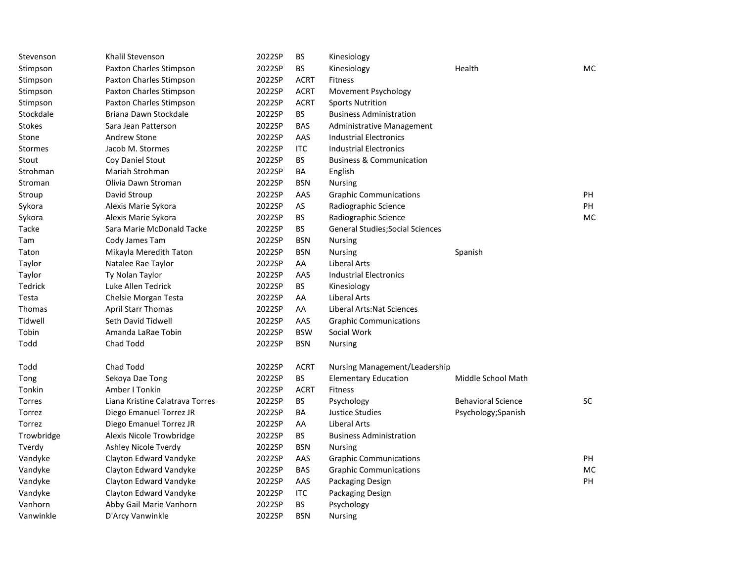| Stevenson      | Khalil Stevenson                | 2022SP | BS          | Kinesiology                             |                           |           |
|----------------|---------------------------------|--------|-------------|-----------------------------------------|---------------------------|-----------|
| Stimpson       | Paxton Charles Stimpson         | 2022SP | <b>BS</b>   | Kinesiology                             | Health                    | <b>MC</b> |
| Stimpson       | Paxton Charles Stimpson         | 2022SP | <b>ACRT</b> | <b>Fitness</b>                          |                           |           |
| Stimpson       | Paxton Charles Stimpson         | 2022SP | <b>ACRT</b> | Movement Psychology                     |                           |           |
| Stimpson       | Paxton Charles Stimpson         | 2022SP | <b>ACRT</b> | <b>Sports Nutrition</b>                 |                           |           |
| Stockdale      | Briana Dawn Stockdale           | 2022SP | <b>BS</b>   | <b>Business Administration</b>          |                           |           |
| Stokes         | Sara Jean Patterson             | 2022SP | <b>BAS</b>  | Administrative Management               |                           |           |
| Stone          | <b>Andrew Stone</b>             | 2022SP | AAS         | <b>Industrial Electronics</b>           |                           |           |
| <b>Stormes</b> | Jacob M. Stormes                | 2022SP | <b>ITC</b>  | <b>Industrial Electronics</b>           |                           |           |
| Stout          | Coy Daniel Stout                | 2022SP | BS.         | <b>Business &amp; Communication</b>     |                           |           |
| Strohman       | Mariah Strohman                 | 2022SP | ΒA          | English                                 |                           |           |
| Stroman        | Olivia Dawn Stroman             | 2022SP | <b>BSN</b>  | Nursing                                 |                           |           |
| Stroup         | David Stroup                    | 2022SP | AAS         | <b>Graphic Communications</b>           |                           | PH        |
| Sykora         | Alexis Marie Sykora             | 2022SP | AS          | Radiographic Science                    |                           | PH        |
| Sykora         | Alexis Marie Sykora             | 2022SP | BS          | Radiographic Science                    |                           | MC        |
| Tacke          | Sara Marie McDonald Tacke       | 2022SP | BS          | <b>General Studies; Social Sciences</b> |                           |           |
| Tam            | Cody James Tam                  | 2022SP | <b>BSN</b>  | Nursing                                 |                           |           |
| Taton          | Mikayla Meredith Taton          | 2022SP | <b>BSN</b>  | Nursing                                 | Spanish                   |           |
| Taylor         | Natalee Rae Taylor              | 2022SP | AA          | <b>Liberal Arts</b>                     |                           |           |
| Taylor         | <b>Ty Nolan Taylor</b>          | 2022SP | AAS         | <b>Industrial Electronics</b>           |                           |           |
| Tedrick        | Luke Allen Tedrick              | 2022SP | BS          | Kinesiology                             |                           |           |
| Testa          | Chelsie Morgan Testa            | 2022SP | AA          | Liberal Arts                            |                           |           |
| Thomas         | <b>April Starr Thomas</b>       | 2022SP | AA          | Liberal Arts: Nat Sciences              |                           |           |
| Tidwell        | Seth David Tidwell              | 2022SP | AAS         | <b>Graphic Communications</b>           |                           |           |
| Tobin          | Amanda LaRae Tobin              | 2022SP | <b>BSW</b>  | Social Work                             |                           |           |
| Todd           | Chad Todd                       | 2022SP | <b>BSN</b>  | <b>Nursing</b>                          |                           |           |
| Todd           | Chad Todd                       | 2022SP | <b>ACRT</b> | Nursing Management/Leadership           |                           |           |
| Tong           | Sekoya Dae Tong                 | 2022SP | BS.         | <b>Elementary Education</b>             | Middle School Math        |           |
| Tonkin         | Amber I Tonkin                  | 2022SP | <b>ACRT</b> | <b>Fitness</b>                          |                           |           |
| Torres         | Liana Kristine Calatrava Torres | 2022SP | <b>BS</b>   | Psychology                              | <b>Behavioral Science</b> | <b>SC</b> |
| Torrez         | Diego Emanuel Torrez JR         | 2022SP | BA          | Justice Studies                         | Psychology;Spanish        |           |
| Torrez         | Diego Emanuel Torrez JR         | 2022SP | AA          | Liberal Arts                            |                           |           |
| Trowbridge     | Alexis Nicole Trowbridge        | 2022SP | BS          | <b>Business Administration</b>          |                           |           |
| Tverdy         | Ashley Nicole Tverdy            | 2022SP | <b>BSN</b>  | <b>Nursing</b>                          |                           |           |
| Vandyke        | Clayton Edward Vandyke          | 2022SP | AAS         | <b>Graphic Communications</b>           |                           | PH        |
| Vandyke        | Clayton Edward Vandyke          | 2022SP | <b>BAS</b>  | <b>Graphic Communications</b>           |                           | MC        |
| Vandyke        | Clayton Edward Vandyke          | 2022SP | AAS         | Packaging Design                        |                           | <b>PH</b> |
| Vandyke        | Clayton Edward Vandyke          | 2022SP | ITC         | Packaging Design                        |                           |           |
| Vanhorn        | Abby Gail Marie Vanhorn         | 2022SP | <b>BS</b>   | Psychology                              |                           |           |
| Vanwinkle      | D'Arcy Vanwinkle                | 2022SP | <b>BSN</b>  | <b>Nursing</b>                          |                           |           |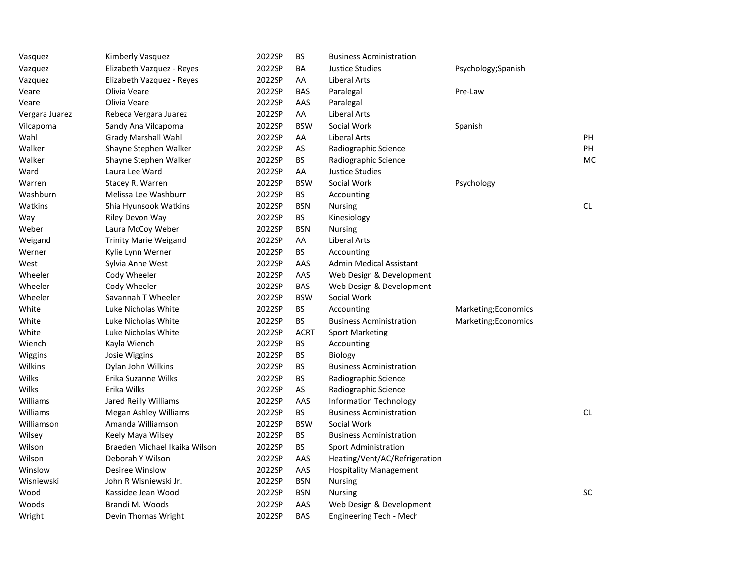| Vasquez        | Kimberly Vasquez              | 2022SP | BS          | <b>Business Administration</b> |                      |           |
|----------------|-------------------------------|--------|-------------|--------------------------------|----------------------|-----------|
| Vazquez        | Elizabeth Vazquez - Reyes     | 2022SP | BA          | <b>Justice Studies</b>         | Psychology;Spanish   |           |
| Vazquez        | Elizabeth Vazquez - Reyes     | 2022SP | AA          | Liberal Arts                   |                      |           |
| Veare          | Olivia Veare                  | 2022SP | <b>BAS</b>  | Paralegal                      | Pre-Law              |           |
| Veare          | Olivia Veare                  | 2022SP | AAS         | Paralegal                      |                      |           |
| Vergara Juarez | Rebeca Vergara Juarez         | 2022SP | AA          | Liberal Arts                   |                      |           |
| Vilcapoma      | Sandy Ana Vilcapoma           | 2022SP | <b>BSW</b>  | Social Work                    | Spanish              |           |
| Wahl           | <b>Grady Marshall Wahl</b>    | 2022SP | AA          | <b>Liberal Arts</b>            |                      | PH        |
| Walker         | Shayne Stephen Walker         | 2022SP | AS          | Radiographic Science           |                      | <b>PH</b> |
| Walker         | Shayne Stephen Walker         | 2022SP | <b>BS</b>   | Radiographic Science           |                      | MC        |
| Ward           | Laura Lee Ward                | 2022SP | AA          | <b>Justice Studies</b>         |                      |           |
| Warren         | Stacey R. Warren              | 2022SP | <b>BSW</b>  | Social Work                    | Psychology           |           |
| Washburn       | Melissa Lee Washburn          | 2022SP | <b>BS</b>   | Accounting                     |                      |           |
| Watkins        | Shia Hyunsook Watkins         | 2022SP | <b>BSN</b>  | <b>Nursing</b>                 |                      | <b>CL</b> |
| Way            | Riley Devon Way               | 2022SP | <b>BS</b>   | Kinesiology                    |                      |           |
| Weber          | Laura McCoy Weber             | 2022SP | <b>BSN</b>  | <b>Nursing</b>                 |                      |           |
| Weigand        | <b>Trinity Marie Weigand</b>  | 2022SP | AA          | Liberal Arts                   |                      |           |
| Werner         | Kylie Lynn Werner             | 2022SP | BS          | Accounting                     |                      |           |
| West           | Sylvia Anne West              | 2022SP | AAS         | Admin Medical Assistant        |                      |           |
| Wheeler        | Cody Wheeler                  | 2022SP | AAS         | Web Design & Development       |                      |           |
| Wheeler        | Cody Wheeler                  | 2022SP | <b>BAS</b>  | Web Design & Development       |                      |           |
| Wheeler        | Savannah T Wheeler            | 2022SP | <b>BSW</b>  | Social Work                    |                      |           |
| White          | Luke Nicholas White           | 2022SP | <b>BS</b>   | Accounting                     | Marketing; Economics |           |
| White          | Luke Nicholas White           | 2022SP | BS          | <b>Business Administration</b> | Marketing; Economics |           |
| White          | Luke Nicholas White           | 2022SP | <b>ACRT</b> | <b>Sport Marketing</b>         |                      |           |
| Wiench         | Kayla Wiench                  | 2022SP | <b>BS</b>   | Accounting                     |                      |           |
| Wiggins        | Josie Wiggins                 | 2022SP | BS          | <b>Biology</b>                 |                      |           |
| Wilkins        | Dylan John Wilkins            | 2022SP | BS          | <b>Business Administration</b> |                      |           |
| Wilks          | Erika Suzanne Wilks           | 2022SP | BS          | Radiographic Science           |                      |           |
| Wilks          | Erika Wilks                   | 2022SP | AS          | Radiographic Science           |                      |           |
| Williams       | Jared Reilly Williams         | 2022SP | AAS         | <b>Information Technology</b>  |                      |           |
| Williams       | <b>Megan Ashley Williams</b>  | 2022SP | <b>BS</b>   | <b>Business Administration</b> |                      | CL        |
| Williamson     | Amanda Williamson             | 2022SP | <b>BSW</b>  | Social Work                    |                      |           |
| Wilsey         | Keely Maya Wilsey             | 2022SP | <b>BS</b>   | <b>Business Administration</b> |                      |           |
| Wilson         | Braeden Michael Ikaika Wilson | 2022SP | BS          | <b>Sport Administration</b>    |                      |           |
| Wilson         | Deborah Y Wilson              | 2022SP | AAS         | Heating/Vent/AC/Refrigeration  |                      |           |
| Winslow        | Desiree Winslow               | 2022SP | AAS         | <b>Hospitality Management</b>  |                      |           |
| Wisniewski     | John R Wisniewski Jr.         | 2022SP | <b>BSN</b>  | <b>Nursing</b>                 |                      |           |
| Wood           | Kassidee Jean Wood            | 2022SP | <b>BSN</b>  | <b>Nursing</b>                 |                      | $\sf SC$  |
| Woods          | Brandi M. Woods               | 2022SP | AAS         | Web Design & Development       |                      |           |
| Wright         | Devin Thomas Wright           | 2022SP | <b>BAS</b>  | <b>Engineering Tech - Mech</b> |                      |           |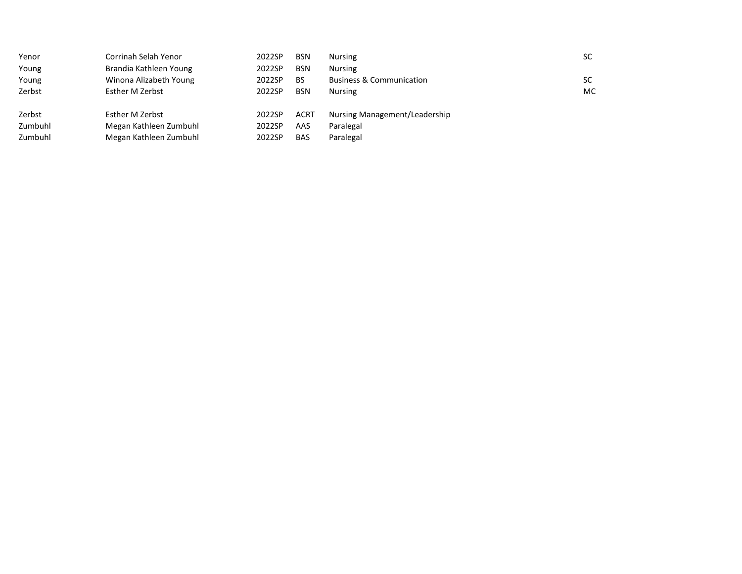| Yenor   | Corrinah Selah Yenor   | 2022SP | <b>BSN</b>  | <b>Nursing</b>                      | SC. |
|---------|------------------------|--------|-------------|-------------------------------------|-----|
| Young   | Brandia Kathleen Young | 2022SP | <b>BSN</b>  | <b>Nursing</b>                      |     |
| Young   | Winona Alizabeth Young | 2022SP | BS          | <b>Business &amp; Communication</b> | SC. |
| Zerbst  | Esther M Zerbst        | 2022SP | <b>BSN</b>  | Nursing                             | MC  |
| Zerbst  | Esther M Zerbst        | 2022SP | <b>ACRT</b> | Nursing Management/Leadership       |     |
| Zumbuhl | Megan Kathleen Zumbuhl | 2022SP | AAS         | Paralegal                           |     |
| Zumbuhl | Megan Kathleen Zumbuhl | 2022SP | <b>BAS</b>  | Paralegal                           |     |
|         |                        |        |             |                                     |     |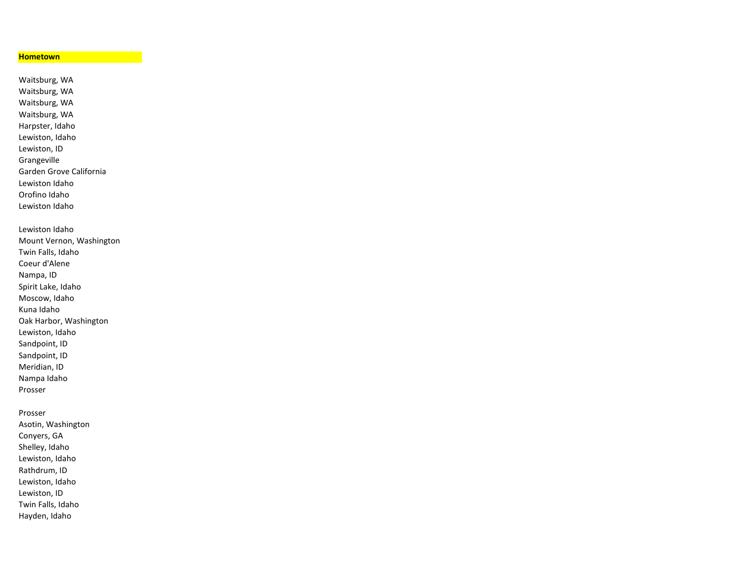## **Hometown**

Waitsburg, WA Waitsburg, WA Waitsburg, WA Waitsburg, WA Harpster, Idaho Lewiston, Idaho Lewiston, ID Grangeville Garden Grove California Lewiston Idaho Orofino Idaho Lewiston Idaho Lewiston Idaho Mount Vernon, Washington Twin Falls, Idaho Coeur d'Alene Nampa, ID Spirit Lake, Idaho Moscow, Idaho Kuna Idaho Oak Harbor, Washington Lewiston, Idaho Sandpoint, ID Sandpoint, ID Meridian, ID

Nampa Idaho

Prosser

Prosser

Asotin, Washington Conyers, GA Shelley, Idaho Lewiston, Idaho Rathdrum, ID Lewiston, Idaho Lewiston, ID Twin Falls, Idaho Hayden, Idaho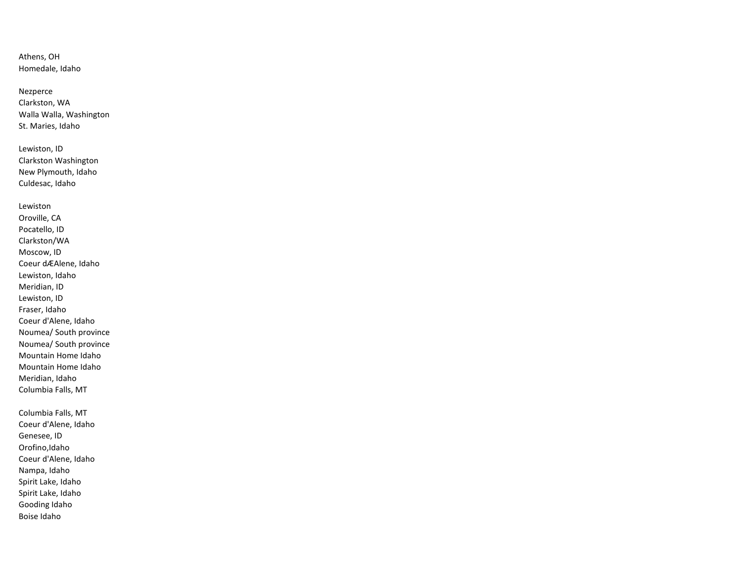Athens, OH Homedale, Idaho

Nezperce Clarkston, WA Walla Walla, Washington St. Maries, Idaho

Lewiston, ID Clarkston Washington New Plymouth, Idaho Culdesac, Idaho

Lewiston Oroville, CA Pocatello, ID Clarkston/WA Moscow, ID Coeur dÆAlene, Idaho Lewiston, Idaho Meridian, ID Lewiston, ID Fraser, Idaho Coeur d'Alene, Idaho Noumea/ South province Noumea/ South province Mountain Home Idaho Mountain Home Idaho Meridian, Idaho Columbia Falls, MT

Columbia Falls, MT Coeur d'Alene, Idaho Genesee, ID Orofino,Idaho Coeur d'Alene, Idaho Nampa, Idaho Spirit Lake, Idaho Spirit Lake, Idaho Gooding Idaho Boise Idaho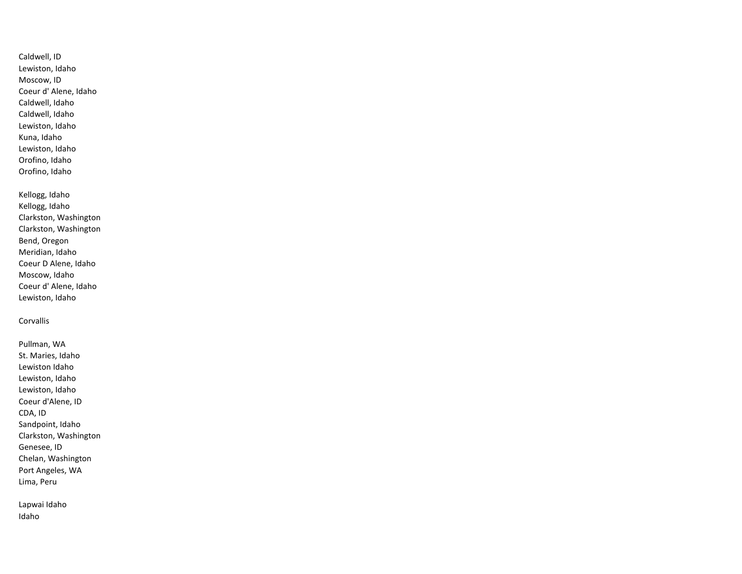Caldwell, ID Lewiston, Idaho Moscow, ID Coeur d' Alene, Idaho Caldwell, Idaho Caldwell, Idaho Lewiston, Idaho Kuna, Idaho Lewiston, Idaho Orofino, Idaho Orofino, Idaho

Kellogg, Idaho Kellogg, Idaho Clarkston, Washington Clarkston, Washington Bend, Oregon Meridian, Idaho Coeur D Alene, Idaho Moscow, Idaho Coeur d' Alene, Idaho Lewiston, Idaho

Corvallis

Pullman, WA St. Maries, Idaho Lewiston Idaho Lewiston, Idaho Lewiston, Idaho Coeur d'Alene, ID CDA, ID Sandpoint, Idaho Clarkston, Washington Genesee, ID Chelan, Washington Port Angeles, WA Lima, Peru

Lapwai Idaho Idaho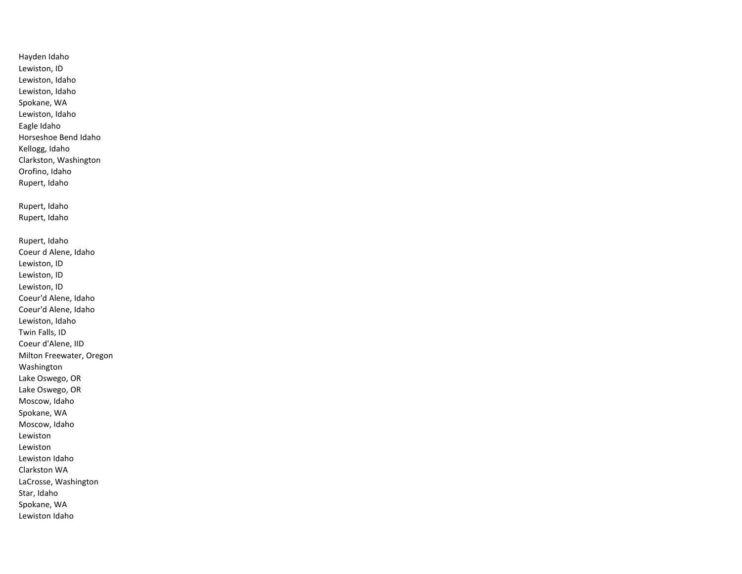Hayden Idaho Lewiston, ID Lewiston, Idaho Lewiston, Idaho Spokane, WA Lewiston, Idaho Eagle Idaho Horseshoe Bend Idaho Kellogg, Idaho Clarkston, Washington Orofino, Idaho Rupert, Idaho Rupert, Idaho Rupert, Idaho Rupert, Idaho Coeur d Alene, Idaho Lewiston, ID Lewiston, ID Lewiston, ID Coeur'd Alene, Idaho Coeur'd Alene, Idaho Lewiston, Idaho Twin Falls, ID Coeur d'Alene, IID Milton Freewater, Oregon Washington Lake Oswego, OR Lake Oswego, OR Moscow, Idaho Spokane, WA Moscow, Idaho Lewiston Lewiston Lewiston Idaho Clarkston WA LaCrosse, Washington Star, Idaho Spokane, WA Lewiston Idaho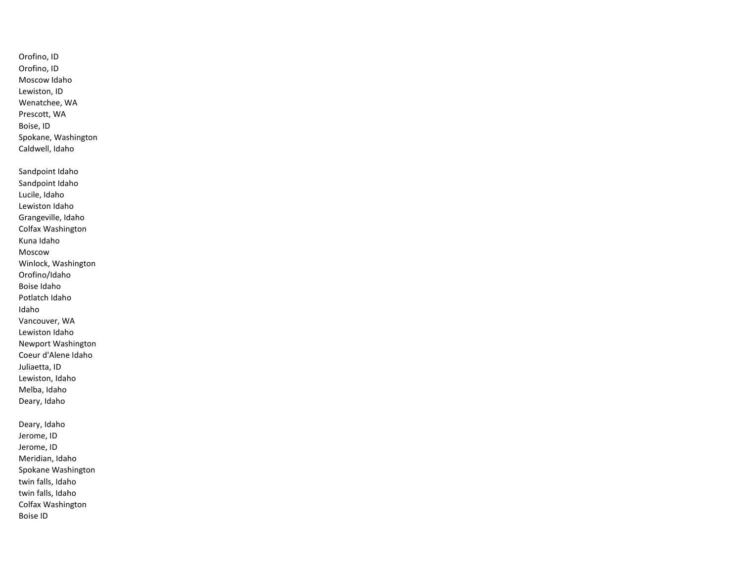Orofino, ID Orofino, ID Moscow Idaho Lewiston, ID Wenatchee, WA Prescott, WA Boise, ID Spokane, Washington Caldwell, Idaho Sandpoint Idaho Sandpoint Idaho Lucile, Idaho Lewiston Idaho Grangeville, Idaho Colfax Washington Kuna Idaho Moscow Winlock, Washington Orofino/Idaho Boise Idaho Potlatch Idaho Idaho Vancouver, WA Lewiston Idaho Newport Washington Coeur d'Alene Idaho Juliaetta, ID Lewiston, Idaho Melba, Idaho Deary, Idaho Deary, Idaho Jerome, ID Jerome, ID Meridian, Idaho Spokane Washington twin falls, Idaho twin falls, Idaho Colfax Washington

Boise ID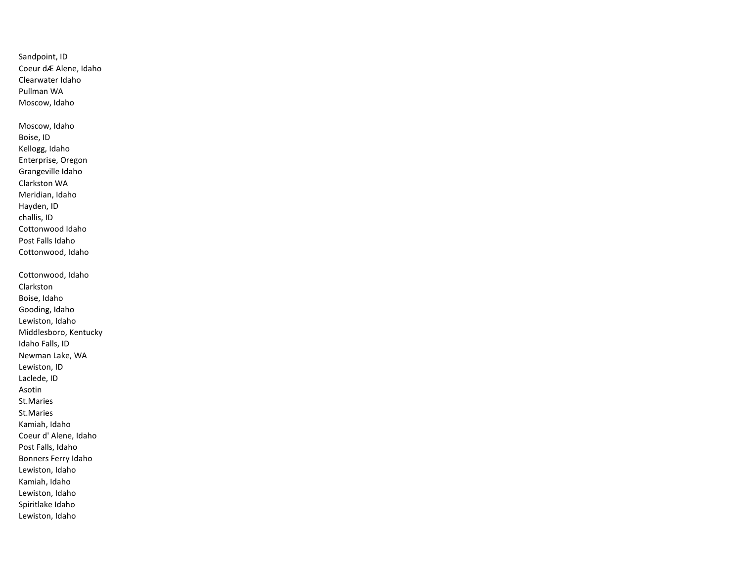Sandpoint, ID Coeur dÆ Alene, Idaho Clearwater Idaho Pullman WA Moscow, Idaho Moscow, Idaho Boise, ID Kellogg, Idaho Enterprise, Oregon Grangeville Idaho Clarkston WA Meridian, Idaho Hayden, ID challis, ID Cottonwood Idaho Post Falls Idaho Cottonwood, Idaho Cottonwood, Idaho Clarkston Boise, Idaho Gooding, Idaho Lewiston, Idaho Middlesboro, Kentucky Idaho Falls, ID Newman Lake, WA Lewiston, ID Laclede, ID Asotin St.Maries St.Maries Kamiah, Idaho Coeur d' Alene, Idaho Post Falls, Idaho Bonners Ferry Idaho Lewiston, Idaho Kamiah, Idaho Lewiston, Idaho Spiritlake Idaho Lewiston, Idaho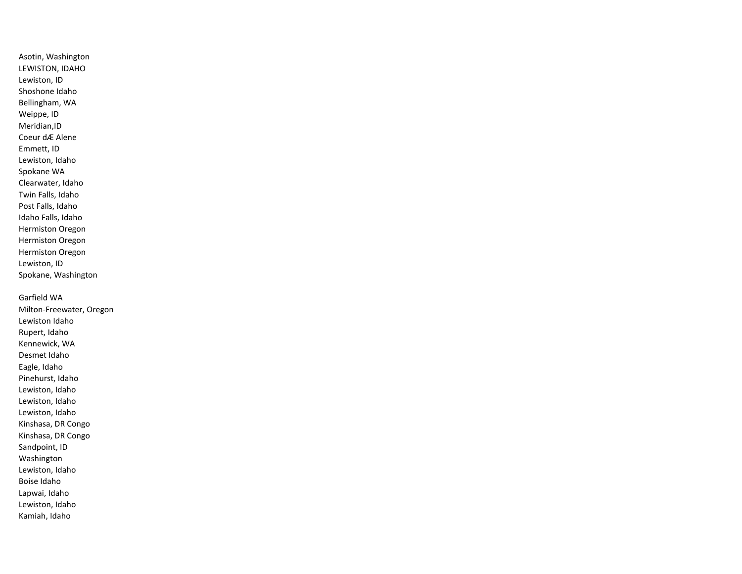Asotin, Washington LEWISTON, IDAHO Lewiston, ID Shoshone Idaho Bellingham, WA Weippe, ID Meridian,ID Coeur dÆ Alene Emmett, ID Lewiston, Idaho Spokane WA Clearwater, Idaho Twin Falls, Idaho Post Falls, Idaho Idaho Falls, Idaho Hermiston Oregon Hermiston Oregon Hermiston Oregon Lewiston, ID Spokane, Washington Garfield WA Milton-Freewater, Oregon Lewiston Idaho Rupert, Idaho Kennewick, WA Desmet Idaho Eagle, Idaho Pinehurst, Idaho Lewiston, Idaho

Kinshasa, DR Congo Kinshasa, DR Congo Sandpoint, ID Washington Lewiston, Idaho Boise Idaho

Lewiston, Idaho Lewiston, Idaho

Lapwai, Idaho

Lewiston, Idaho

Kamiah, Idaho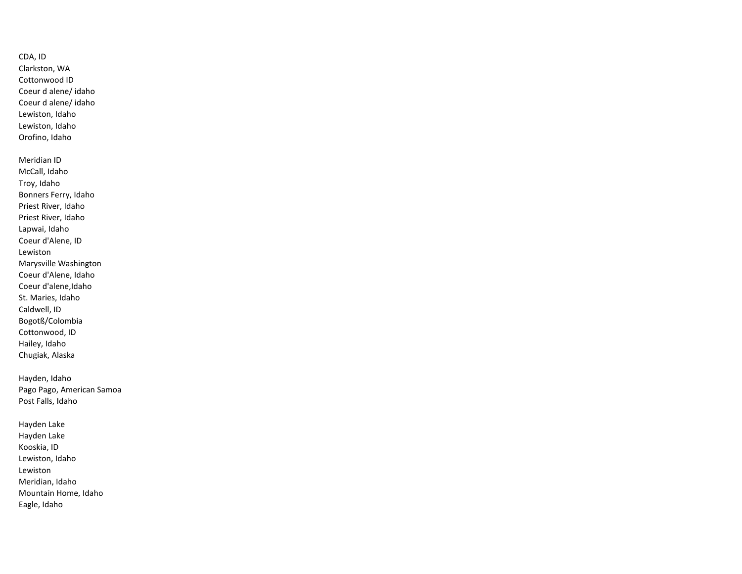CDA, ID Clarkston, WA Cottonwood ID Coeur d alene/ idaho Coeur d alene/ idaho Lewiston, Idaho Lewiston, Idaho Orofino, Idaho Meridian ID McCall, Idaho Troy, Idaho Bonners Ferry, Idaho Priest River, Idaho Priest River, Idaho Lapwai, Idaho Coeur d'Alene, ID Lewiston

Marysville Washington Coeur d'Alene, Idaho Coeur d'alene,Idaho St. Maries, Idaho Caldwell, ID Bogotß/Colombia Cottonwood, ID Hailey, Idaho Chugiak, Alaska

Hayden, Idaho Pago Pago, American Samoa Post Falls, Idaho

Hayden Lake Hayden Lake Kooskia, ID Lewiston, Idaho Lewiston Meridian, Idaho Mountain Home, Idaho Eagle, Idaho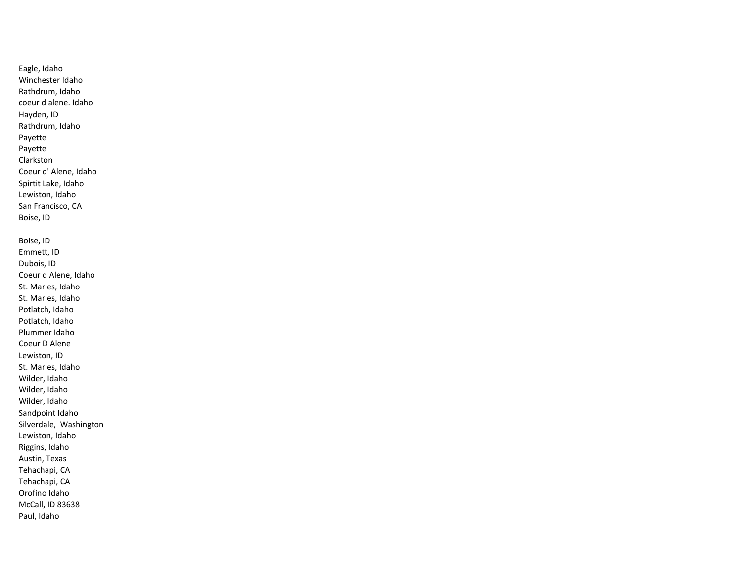Eagle, Idaho Winchester Idaho Rathdrum, Idaho coeur d alene. Idaho Hayden, ID Rathdrum, Idaho Payette Payette Clarkston Coeur d' Alene, Idaho Spirtit Lake, Idaho Lewiston, Idaho San Francisco, CA Boise, ID Boise, ID Emmett, ID Dubois, ID Coeur d Alene, Idaho St. Maries, Idaho St. Maries, Idaho Potlatch, Idaho Potlatch, Idaho Plummer Idaho Coeur D Alene Lewiston, ID St. Maries, Idaho Wilder, Idaho Wilder, Idaho Wilder, Idaho Sandpoint Idaho Silverdale, Washington Lewiston, Idaho Riggins, Idaho Austin, Texas Tehachapi, CA Tehachapi, CA Orofino Idaho McCall, ID 83638 Paul, Idaho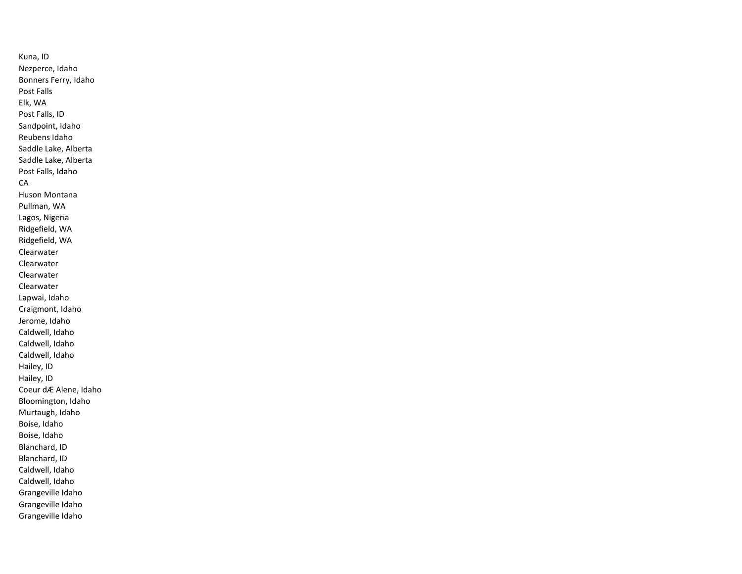Kuna, ID Nezperce, Idaho Bonners Ferry, Idaho Post Falls Elk, WA Post Falls, ID Sandpoint, Idaho Reubens Idaho Saddle Lake, Alberta Saddle Lake, Alberta Post Falls, Idaho CA Huson Montana Pullman, WA Lagos, Nigeria Ridgefield, WA Ridgefield, WA Clearwater Clearwater Clearwater Clearwater Lapwai, Idaho Craigmont, Idaho Jerome, Idaho Caldwell, Idaho Caldwell, Idaho Caldwell, Idaho Hailey, ID Hailey, ID Coeur dÆ Alene, Idaho Bloomington, Idaho Murtaugh, Idaho Boise, Idaho Boise, Idaho Blanchard, ID Blanchard, ID Caldwell, Idaho Caldwell, Idaho Grangeville Idaho Grangeville Idaho Grangeville Idaho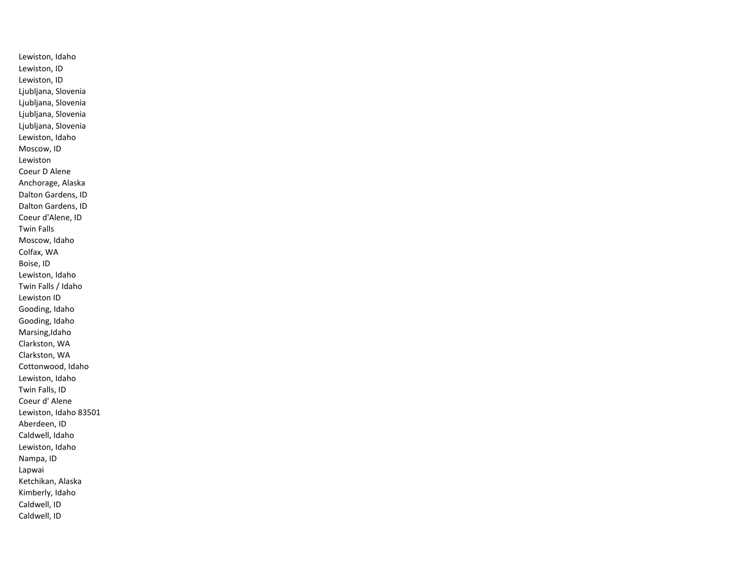Lewiston, Idaho Lewiston, ID Lewiston, ID Ljubljana, Slovenia Ljubljana, Slovenia Ljubljana, Slovenia Ljubljana, Slovenia Lewiston, Idaho Moscow, ID Lewiston Coeur D Alene Anchorage, Alaska Dalton Gardens, ID Dalton Gardens, ID Coeur d'Alene, ID Twin Falls Moscow, Idaho Colfax, WA Boise, ID Lewiston, Idaho Twin Falls / Idaho Lewiston ID Gooding, Idaho Gooding, Idaho Marsing,Idaho Clarkston, WA Clarkston, WA Cottonwood, Idaho Lewiston, Idaho Twin Falls, ID Coeur d' Alene Lewiston, Idaho 83501 Aberdeen, ID Caldwell, Idaho Lewiston, Idaho Nampa, ID Lapwai Ketchikan, Alaska Kimberly, Idaho Caldwell, ID Caldwell, ID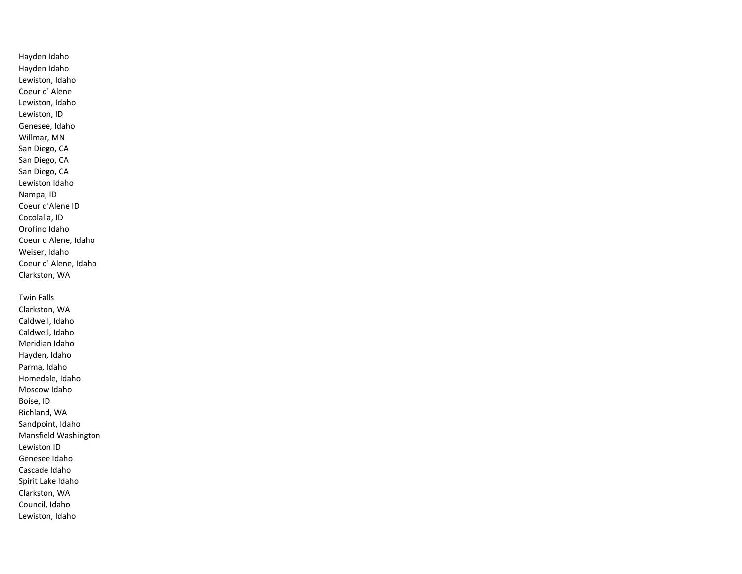Hayden Idaho Hayden Idaho Lewiston, Idaho Coeur d' Alene Lewiston, Idaho Lewiston, ID Genesee, Idaho Willmar, MN San Diego, CA San Diego, CA San Diego, CA Lewiston Idaho Nampa, ID Coeur d'Alene ID Cocolalla, ID Orofino Idaho Coeur d Alene, Idaho Weiser, Idaho Coeur d' Alene, Idaho Clarkston, WA

Twin Falls Clarkston, WA Caldwell, Idaho Caldwell, Idaho Meridian Idaho Hayden, Idaho Parma, Idaho Homedale, Idaho Moscow Idaho Boise, ID Richland, WA Sandpoint, Idaho Mansfield Washington Lewiston ID Genesee Idaho Cascade Idaho Spirit Lake Idaho Clarkston, WA Council, Idaho Lewiston, Idaho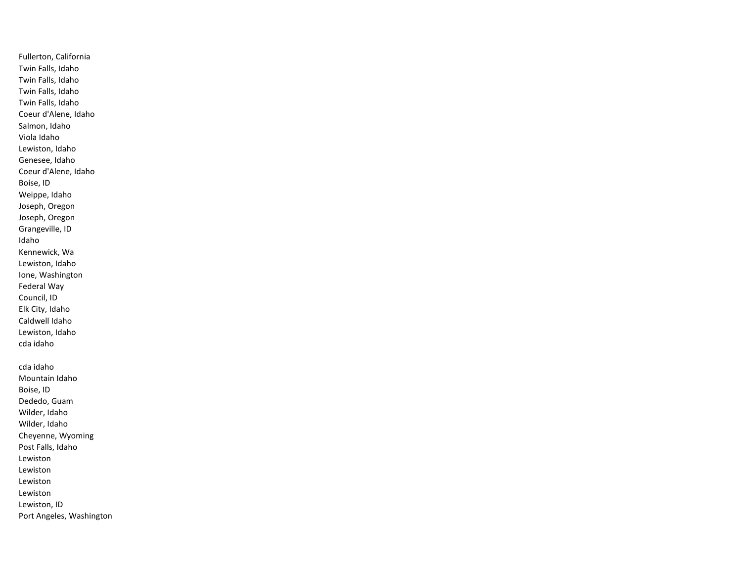Fullerton, California Twin Falls, Idaho Twin Falls, Idaho Twin Falls, Idaho Twin Falls, Idaho Coeur d'Alene, Idaho Salmon, Idaho Viola Idaho Lewiston, Idaho Genesee, Idaho Coeur d'Alene, Idaho Boise, ID Weippe, Idaho Joseph, Oregon Joseph, Oregon Grangeville, ID Idaho Kennewick, Wa Lewiston, Idaho Ione, Washington Federal Way Council, ID Elk City, Idaho Caldwell Idaho Lewiston, Idaho cda idaho cda idaho Mountain Idaho Boise, ID Dededo, Guam Wilder, Idaho Wilder, Idaho Cheyenne, Wyoming Post Falls, Idaho Lewiston Lewiston Lewiston Lewiston Lewiston, ID Port Angeles, Washington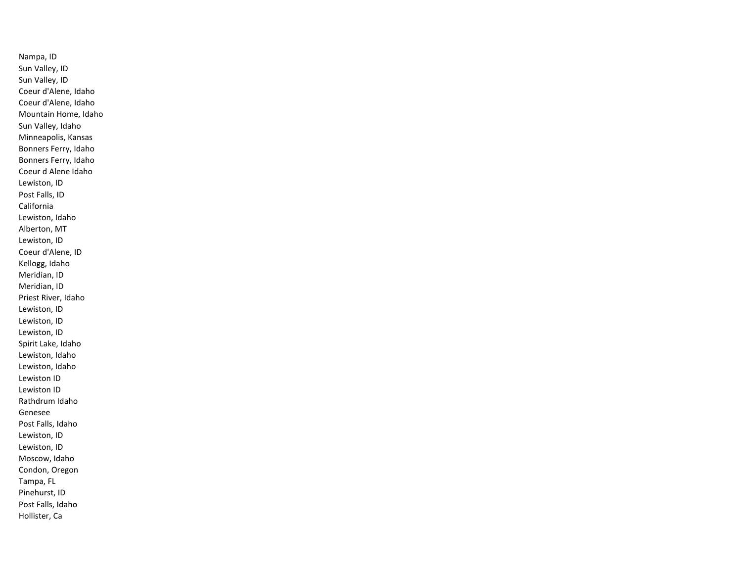Nampa, ID Sun Valley, ID Sun Valley, ID Coeur d'Alene, Idaho Coeur d'Alene, Idaho Mountain Home, Idaho Sun Valley, Idaho Minneapolis, Kansas Bonners Ferry, Idaho Bonners Ferry, Idaho Coeur d Alene Idaho Lewiston, ID Post Falls, ID California Lewiston, Idaho Alberton, MT Lewiston, ID Coeur d'Alene, ID Kellogg, Idaho Meridian, ID Meridian, ID Priest River, Idaho Lewiston, ID Lewiston, ID Lewiston, ID Spirit Lake, Idaho Lewiston, Idaho Lewiston, Idaho Lewiston ID Lewiston ID Rathdrum Idaho Genesee Post Falls, Idaho Lewiston, ID Lewiston, ID Moscow, Idaho Condon, Oregon Tampa, FL Pinehurst, ID Post Falls, Idaho Hollister, Ca